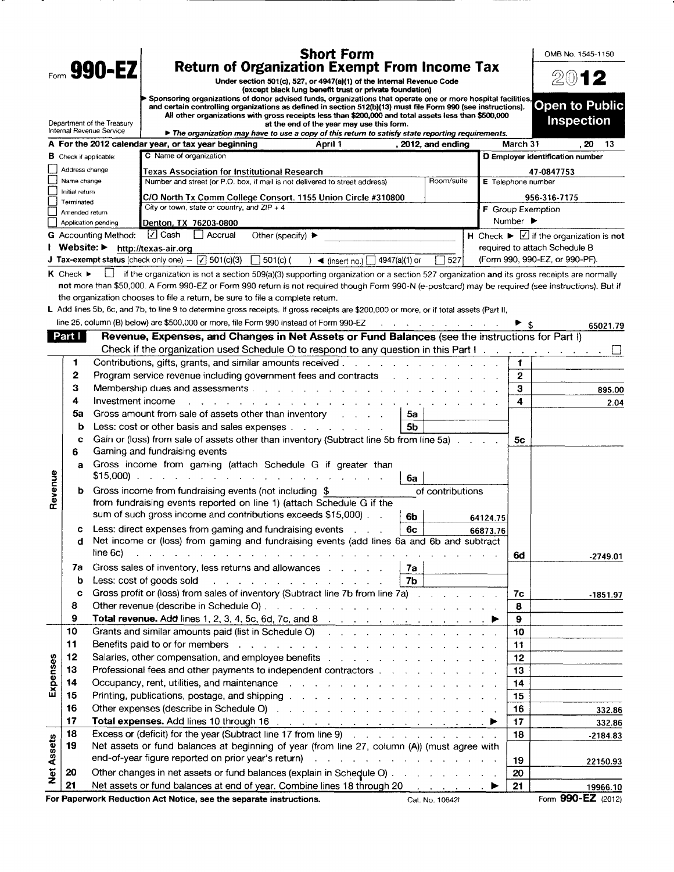| Form 990-EZ<br><b>Return of Organization Exempt From Income Tax</b><br>2012<br>Under section 501(c), 527, or 4947(a)(1) of the Internal Revenue Code<br>(except black lung benefit trust or private foundation)<br>Sponsoring organizations of donor advised funds, organizations that operate one or more hospital facilities,<br><b>Open to Public</b><br>and certain controlling organizations as defined in section 512(b)(13) must file Form 990 (see instructions).<br>All other organizations with gross receipts less than \$200,000 and total assets less than \$500,000<br><b>Inspection</b><br>Department of the Treasury<br>at the end of the year may use this form.<br>Internal Revenue Service<br>The organization may have to use a copy of this return to satisfy state reporting requirements.<br>A For the 2012 calendar year, or tax year beginning<br>, 2012, and ending<br>March 31<br>. 20<br>April 1<br>13<br>C Name of organization<br>D Employer identification number<br><b>B</b> Check if applicable:<br>Address change<br>Texas Association for Institutional Research<br>47-0847753<br>Number and street (or P.O. box, if mail is not delivered to street address)<br>Room/suite<br>Name change<br>E Telephone number<br>Initial return<br>C/O North Tx Comm College Consort. 1155 Union Circle #310800<br>956-316-7175<br>Terminated<br>City or town, state or country, and $ZIP + 4$<br><b>F</b> Group Exemption<br>Amended return<br>Number $\blacktriangleright$<br>Denton, TX 76203-0800<br>Application pending<br>$\lceil \sqrt{\ } \rceil$ Cash<br>H Check $\blacktriangleright \Box$ if the organization is not<br>  Accrual<br>Other (specify) $\blacktriangleright$<br><b>G</b> Accounting Method:<br>Website: ▶<br>required to attach Schedule B<br>http://texas-air.org<br><b>J</b> Tax-exempt status (check only one) $-\boxed{7}$ 501(c)(3) $\boxed{\phantom{0}}$ 501(c) ( ) < (insert no.)<br>(Form 990, 990-EZ, or 990-PF).<br>7527<br>4947(a)(1) or<br>$K$ Check $\blacktriangleright$<br>if the organization is not a section 509(a)(3) supporting organization or a section 527 organization and its gross receipts are normally<br>not more than \$50,000. A Form 990-EZ or Form 990 return is not required though Form 990-N (e-postcard) may be required (see instructions). But if<br>the organization chooses to file a return, be sure to file a complete return.<br>L Add lines 5b, 6c, and 7b, to line 9 to determine gross receipts. If gross receipts are \$200,000 or more, or if total assets (Part II,<br>line 25, column (B) below) are \$500,000 or more, file Form 990 instead of Form 990-EZ<br>the contract of the contract of the<br>► \$<br>65021.79<br>Part  <br>Revenue, Expenses, and Changes in Net Assets or Fund Balances (see the instructions for Part I)<br>Check if the organization used Schedule O to respond to any question in this Part I.<br>1<br>$\blacktriangleleft$<br>2<br>Program service revenue including government fees and contracts and contract contact contact of the service revenue of Program service revenue of Program service revenue of Program service revenue of Program service revenu<br>$\mathbf{2}$<br>3<br>З<br>895.00<br>4<br>Investment income<br>4<br>2.04<br>Gross amount from sale of assets other than inventory Fig. 1. The state of assets other than inventory Fig. 1. The state of the Stroman Stroman Stroman Stroman Stroman Stroman Stroman Stroman Stroman Stroman Stroman Stroma<br>5a<br>5a<br>Less: cost or other basis and sales expenses<br>5b<br>b<br>Gain or (loss) from sale of assets other than inventory (Subtract line 5b from line 5a)<br>c<br>5с<br>Gaming and fundraising events<br>6<br>Gross income from gaming (attach Schedule G if greater than<br>a<br>Revenue<br>6a<br>Gross income from fundraising events (not including \$<br>of contributions<br>b<br>from fundraising events reported on line 1) (attach Schedule G if the<br>sum of such gross income and contributions exceeds \$15,000).<br>6b<br>64124.75<br>Less: direct expenses from gaming and fundraising events<br>6с<br>с<br>66873.76<br>Net income or (loss) from gaming and fundraising events (add lines 6a and 6b and subtract<br>d<br>line 6c)<br>$\mathbf{r} = \mathbf{r} - \mathbf{r} - \mathbf{r} - \mathbf{r} - \mathbf{r} - \mathbf{r} - \mathbf{r} - \mathbf{r} - \mathbf{r} - \mathbf{r} - \mathbf{r} - \mathbf{r} - \mathbf{r} - \mathbf{r} - \mathbf{r} - \mathbf{r} - \mathbf{r} - \mathbf{r} - \mathbf{r} - \mathbf{r} - \mathbf{r} - \mathbf{r} - \mathbf{r} - \mathbf{r} - \mathbf{r} - \mathbf{r} - \mathbf{r} - \mathbf{r} - \mathbf{r} - \mathbf{r} - \mathbf$<br>6d<br>$-2749.01$<br>Gross sales of inventory, less returns and allowances<br>7a<br>7a<br>Less: cost of goods sold<br>b<br>a construction of the construction of the construction of<br>7b<br>Gross profit or (loss) from sales of inventory (Subtract line 7b from line 7a) with a contract of the state of<br>c<br>7c<br>$-1851.97$<br>8<br>8<br>9<br>9<br>Grants and similar amounts paid (list in Schedule O) and a subset of the set of the set of the set of the set of the set of the set of the set of the set of the set of the set of the set of the set of the set of the set of<br>10<br>10<br>11<br>Benefits paid to or for members response to the contract of the contract of the contract of the contract of the contract of the contract of the contract of the contract of the contract of the contract of the contract of th<br>11<br>12<br>Expenses<br>12<br>13<br>Professional fees and other payments to independent contractors<br>13<br>14<br>Occupancy, rent, utilities, and maintenance response to the contract of the contract of the contract of the contract of the contract of the contract of the contract of the contract of the contract of the contract of the co<br>14<br>15<br>15<br>16<br>Other expenses (describe in Schedule O) and a contract of the contract of the state of the state of the state of the state of the state of the state of the state of the state of the state of the state of the state of the s<br>16<br>332.86<br>17<br>17<br>332.86<br>18<br>Excess or (deficit) for the year (Subtract line 17 from line 9)<br>18<br>$-2184.83$<br><b>Net Assets</b><br>19<br>Net assets or fund balances at beginning of year (from line 27, column (A)) (must agree with<br>end-of-year figure reported on prior year's return) and a substantial containing the state of the state of the<br>19<br>22150.93<br>20<br>Other changes in net assets or fund balances (explain in Schedule O)<br>20<br>21<br>Net assets or fund balances at end of year. Combine lines 18 through 20 ▶<br>21<br>19966.10<br>For Paperwork Reduction Act Notice, see the separate instructions. |  |  | <b>Short Form</b> |                 |  | OMB No. 1545-1150  |
|-------------------------------------------------------------------------------------------------------------------------------------------------------------------------------------------------------------------------------------------------------------------------------------------------------------------------------------------------------------------------------------------------------------------------------------------------------------------------------------------------------------------------------------------------------------------------------------------------------------------------------------------------------------------------------------------------------------------------------------------------------------------------------------------------------------------------------------------------------------------------------------------------------------------------------------------------------------------------------------------------------------------------------------------------------------------------------------------------------------------------------------------------------------------------------------------------------------------------------------------------------------------------------------------------------------------------------------------------------------------------------------------------------------------------------------------------------------------------------------------------------------------------------------------------------------------------------------------------------------------------------------------------------------------------------------------------------------------------------------------------------------------------------------------------------------------------------------------------------------------------------------------------------------------------------------------------------------------------------------------------------------------------------------------------------------------------------------------------------------------------------------------------------------------------------------------------------------------------------------------------------------------------------------------------------------------------------------------------------------------------------------------------------------------------------------------------------------------------------------------------------------------------------------------------------------------------------------------------------------------------------------------------------------------------------------------------------------------------------------------------------------------------------------------------------------------------------------------------------------------------------------------------------------------------------------------------------------------------------------------------------------------------------------------------------------------------------------------------------------------------------------------------------------------------------------------------------------------------------------------------------------------------------------------------------------------------------------------------------------------------------------------------------------------------------------------------------------------------------------------------------------------------------------------------------------------------------------------------------------------------------------------------------------------------------------------------------------------------------------------------------------------------------------------------------------------------------------------------------------------------------------------------------------------------------------------------------------------------------------------------------------------------------------------------------------------------------------------------------------------------------------------------------------------------------------------------------------------------------------------------------------------------------------------------------------------------------------------------------------------------------------------------------------------------------------------------------------------------------------------------------------------------------------------------------------------------------------------------------------------------------------------------------------------------------------------------------------------------------------------------------------------------------------------------------------------------------------------------------------------------------------------------------------------------------------------------------------------------------------------------------------------------------------------------------------------------------------------------------------------------------------------------------------------------------------------------------------------------------------------------------------------------------------------------------------------------------------------------------------------------------------------------------------------------------------------------------------------------------------------------------------------------------------------------------------------------------------------------------------------------------------------------------------------------------------------------------------------------------------------------------------------------------------------------------------------------------------------------------------------------------------------------------------------------------------------------------------------------------------------------------------------------------------------------------------------------------------------------------------------------------------------------------------------------------------------------------------------------------------------------------------------------------------------------------------------------------------------------------------------------------------------------------------------------------------------------------------------------------------------------------------------------------------------------------------------------------------------------------------------------------------------------------------------------------------------------------------------------------------------------------------------------------------------------------------------------------------------|--|--|-------------------|-----------------|--|--------------------|
|                                                                                                                                                                                                                                                                                                                                                                                                                                                                                                                                                                                                                                                                                                                                                                                                                                                                                                                                                                                                                                                                                                                                                                                                                                                                                                                                                                                                                                                                                                                                                                                                                                                                                                                                                                                                                                                                                                                                                                                                                                                                                                                                                                                                                                                                                                                                                                                                                                                                                                                                                                                                                                                                                                                                                                                                                                                                                                                                                                                                                                                                                                                                                                                                                                                                                                                                                                                                                                                                                                                                                                                                                                                                                                                                                                                                                                                                                                                                                                                                                                                                                                                                                                                                                                                                                                                                                                                                                                                                                                                                                                                                                                                                                                                                                                                                                                                                                                                                                                                                                                                                                                                                                                                                                                                                                                                                                                                                                                                                                                                                                                                                                                                                                                                                                                                                                                                                                                                                                                                                                                                                                                                                                                                                                                                                                                                                                                                                                                                                                                                                                                                                                                                                                                                                                                                                                                           |  |  |                   |                 |  |                    |
|                                                                                                                                                                                                                                                                                                                                                                                                                                                                                                                                                                                                                                                                                                                                                                                                                                                                                                                                                                                                                                                                                                                                                                                                                                                                                                                                                                                                                                                                                                                                                                                                                                                                                                                                                                                                                                                                                                                                                                                                                                                                                                                                                                                                                                                                                                                                                                                                                                                                                                                                                                                                                                                                                                                                                                                                                                                                                                                                                                                                                                                                                                                                                                                                                                                                                                                                                                                                                                                                                                                                                                                                                                                                                                                                                                                                                                                                                                                                                                                                                                                                                                                                                                                                                                                                                                                                                                                                                                                                                                                                                                                                                                                                                                                                                                                                                                                                                                                                                                                                                                                                                                                                                                                                                                                                                                                                                                                                                                                                                                                                                                                                                                                                                                                                                                                                                                                                                                                                                                                                                                                                                                                                                                                                                                                                                                                                                                                                                                                                                                                                                                                                                                                                                                                                                                                                                                           |  |  |                   |                 |  |                    |
|                                                                                                                                                                                                                                                                                                                                                                                                                                                                                                                                                                                                                                                                                                                                                                                                                                                                                                                                                                                                                                                                                                                                                                                                                                                                                                                                                                                                                                                                                                                                                                                                                                                                                                                                                                                                                                                                                                                                                                                                                                                                                                                                                                                                                                                                                                                                                                                                                                                                                                                                                                                                                                                                                                                                                                                                                                                                                                                                                                                                                                                                                                                                                                                                                                                                                                                                                                                                                                                                                                                                                                                                                                                                                                                                                                                                                                                                                                                                                                                                                                                                                                                                                                                                                                                                                                                                                                                                                                                                                                                                                                                                                                                                                                                                                                                                                                                                                                                                                                                                                                                                                                                                                                                                                                                                                                                                                                                                                                                                                                                                                                                                                                                                                                                                                                                                                                                                                                                                                                                                                                                                                                                                                                                                                                                                                                                                                                                                                                                                                                                                                                                                                                                                                                                                                                                                                                           |  |  |                   |                 |  |                    |
|                                                                                                                                                                                                                                                                                                                                                                                                                                                                                                                                                                                                                                                                                                                                                                                                                                                                                                                                                                                                                                                                                                                                                                                                                                                                                                                                                                                                                                                                                                                                                                                                                                                                                                                                                                                                                                                                                                                                                                                                                                                                                                                                                                                                                                                                                                                                                                                                                                                                                                                                                                                                                                                                                                                                                                                                                                                                                                                                                                                                                                                                                                                                                                                                                                                                                                                                                                                                                                                                                                                                                                                                                                                                                                                                                                                                                                                                                                                                                                                                                                                                                                                                                                                                                                                                                                                                                                                                                                                                                                                                                                                                                                                                                                                                                                                                                                                                                                                                                                                                                                                                                                                                                                                                                                                                                                                                                                                                                                                                                                                                                                                                                                                                                                                                                                                                                                                                                                                                                                                                                                                                                                                                                                                                                                                                                                                                                                                                                                                                                                                                                                                                                                                                                                                                                                                                                                           |  |  |                   |                 |  |                    |
|                                                                                                                                                                                                                                                                                                                                                                                                                                                                                                                                                                                                                                                                                                                                                                                                                                                                                                                                                                                                                                                                                                                                                                                                                                                                                                                                                                                                                                                                                                                                                                                                                                                                                                                                                                                                                                                                                                                                                                                                                                                                                                                                                                                                                                                                                                                                                                                                                                                                                                                                                                                                                                                                                                                                                                                                                                                                                                                                                                                                                                                                                                                                                                                                                                                                                                                                                                                                                                                                                                                                                                                                                                                                                                                                                                                                                                                                                                                                                                                                                                                                                                                                                                                                                                                                                                                                                                                                                                                                                                                                                                                                                                                                                                                                                                                                                                                                                                                                                                                                                                                                                                                                                                                                                                                                                                                                                                                                                                                                                                                                                                                                                                                                                                                                                                                                                                                                                                                                                                                                                                                                                                                                                                                                                                                                                                                                                                                                                                                                                                                                                                                                                                                                                                                                                                                                                                           |  |  |                   |                 |  |                    |
|                                                                                                                                                                                                                                                                                                                                                                                                                                                                                                                                                                                                                                                                                                                                                                                                                                                                                                                                                                                                                                                                                                                                                                                                                                                                                                                                                                                                                                                                                                                                                                                                                                                                                                                                                                                                                                                                                                                                                                                                                                                                                                                                                                                                                                                                                                                                                                                                                                                                                                                                                                                                                                                                                                                                                                                                                                                                                                                                                                                                                                                                                                                                                                                                                                                                                                                                                                                                                                                                                                                                                                                                                                                                                                                                                                                                                                                                                                                                                                                                                                                                                                                                                                                                                                                                                                                                                                                                                                                                                                                                                                                                                                                                                                                                                                                                                                                                                                                                                                                                                                                                                                                                                                                                                                                                                                                                                                                                                                                                                                                                                                                                                                                                                                                                                                                                                                                                                                                                                                                                                                                                                                                                                                                                                                                                                                                                                                                                                                                                                                                                                                                                                                                                                                                                                                                                                                           |  |  |                   |                 |  |                    |
|                                                                                                                                                                                                                                                                                                                                                                                                                                                                                                                                                                                                                                                                                                                                                                                                                                                                                                                                                                                                                                                                                                                                                                                                                                                                                                                                                                                                                                                                                                                                                                                                                                                                                                                                                                                                                                                                                                                                                                                                                                                                                                                                                                                                                                                                                                                                                                                                                                                                                                                                                                                                                                                                                                                                                                                                                                                                                                                                                                                                                                                                                                                                                                                                                                                                                                                                                                                                                                                                                                                                                                                                                                                                                                                                                                                                                                                                                                                                                                                                                                                                                                                                                                                                                                                                                                                                                                                                                                                                                                                                                                                                                                                                                                                                                                                                                                                                                                                                                                                                                                                                                                                                                                                                                                                                                                                                                                                                                                                                                                                                                                                                                                                                                                                                                                                                                                                                                                                                                                                                                                                                                                                                                                                                                                                                                                                                                                                                                                                                                                                                                                                                                                                                                                                                                                                                                                           |  |  |                   |                 |  |                    |
|                                                                                                                                                                                                                                                                                                                                                                                                                                                                                                                                                                                                                                                                                                                                                                                                                                                                                                                                                                                                                                                                                                                                                                                                                                                                                                                                                                                                                                                                                                                                                                                                                                                                                                                                                                                                                                                                                                                                                                                                                                                                                                                                                                                                                                                                                                                                                                                                                                                                                                                                                                                                                                                                                                                                                                                                                                                                                                                                                                                                                                                                                                                                                                                                                                                                                                                                                                                                                                                                                                                                                                                                                                                                                                                                                                                                                                                                                                                                                                                                                                                                                                                                                                                                                                                                                                                                                                                                                                                                                                                                                                                                                                                                                                                                                                                                                                                                                                                                                                                                                                                                                                                                                                                                                                                                                                                                                                                                                                                                                                                                                                                                                                                                                                                                                                                                                                                                                                                                                                                                                                                                                                                                                                                                                                                                                                                                                                                                                                                                                                                                                                                                                                                                                                                                                                                                                                           |  |  |                   |                 |  |                    |
|                                                                                                                                                                                                                                                                                                                                                                                                                                                                                                                                                                                                                                                                                                                                                                                                                                                                                                                                                                                                                                                                                                                                                                                                                                                                                                                                                                                                                                                                                                                                                                                                                                                                                                                                                                                                                                                                                                                                                                                                                                                                                                                                                                                                                                                                                                                                                                                                                                                                                                                                                                                                                                                                                                                                                                                                                                                                                                                                                                                                                                                                                                                                                                                                                                                                                                                                                                                                                                                                                                                                                                                                                                                                                                                                                                                                                                                                                                                                                                                                                                                                                                                                                                                                                                                                                                                                                                                                                                                                                                                                                                                                                                                                                                                                                                                                                                                                                                                                                                                                                                                                                                                                                                                                                                                                                                                                                                                                                                                                                                                                                                                                                                                                                                                                                                                                                                                                                                                                                                                                                                                                                                                                                                                                                                                                                                                                                                                                                                                                                                                                                                                                                                                                                                                                                                                                                                           |  |  |                   |                 |  |                    |
|                                                                                                                                                                                                                                                                                                                                                                                                                                                                                                                                                                                                                                                                                                                                                                                                                                                                                                                                                                                                                                                                                                                                                                                                                                                                                                                                                                                                                                                                                                                                                                                                                                                                                                                                                                                                                                                                                                                                                                                                                                                                                                                                                                                                                                                                                                                                                                                                                                                                                                                                                                                                                                                                                                                                                                                                                                                                                                                                                                                                                                                                                                                                                                                                                                                                                                                                                                                                                                                                                                                                                                                                                                                                                                                                                                                                                                                                                                                                                                                                                                                                                                                                                                                                                                                                                                                                                                                                                                                                                                                                                                                                                                                                                                                                                                                                                                                                                                                                                                                                                                                                                                                                                                                                                                                                                                                                                                                                                                                                                                                                                                                                                                                                                                                                                                                                                                                                                                                                                                                                                                                                                                                                                                                                                                                                                                                                                                                                                                                                                                                                                                                                                                                                                                                                                                                                                                           |  |  |                   |                 |  |                    |
|                                                                                                                                                                                                                                                                                                                                                                                                                                                                                                                                                                                                                                                                                                                                                                                                                                                                                                                                                                                                                                                                                                                                                                                                                                                                                                                                                                                                                                                                                                                                                                                                                                                                                                                                                                                                                                                                                                                                                                                                                                                                                                                                                                                                                                                                                                                                                                                                                                                                                                                                                                                                                                                                                                                                                                                                                                                                                                                                                                                                                                                                                                                                                                                                                                                                                                                                                                                                                                                                                                                                                                                                                                                                                                                                                                                                                                                                                                                                                                                                                                                                                                                                                                                                                                                                                                                                                                                                                                                                                                                                                                                                                                                                                                                                                                                                                                                                                                                                                                                                                                                                                                                                                                                                                                                                                                                                                                                                                                                                                                                                                                                                                                                                                                                                                                                                                                                                                                                                                                                                                                                                                                                                                                                                                                                                                                                                                                                                                                                                                                                                                                                                                                                                                                                                                                                                                                           |  |  |                   |                 |  |                    |
|                                                                                                                                                                                                                                                                                                                                                                                                                                                                                                                                                                                                                                                                                                                                                                                                                                                                                                                                                                                                                                                                                                                                                                                                                                                                                                                                                                                                                                                                                                                                                                                                                                                                                                                                                                                                                                                                                                                                                                                                                                                                                                                                                                                                                                                                                                                                                                                                                                                                                                                                                                                                                                                                                                                                                                                                                                                                                                                                                                                                                                                                                                                                                                                                                                                                                                                                                                                                                                                                                                                                                                                                                                                                                                                                                                                                                                                                                                                                                                                                                                                                                                                                                                                                                                                                                                                                                                                                                                                                                                                                                                                                                                                                                                                                                                                                                                                                                                                                                                                                                                                                                                                                                                                                                                                                                                                                                                                                                                                                                                                                                                                                                                                                                                                                                                                                                                                                                                                                                                                                                                                                                                                                                                                                                                                                                                                                                                                                                                                                                                                                                                                                                                                                                                                                                                                                                                           |  |  |                   |                 |  |                    |
|                                                                                                                                                                                                                                                                                                                                                                                                                                                                                                                                                                                                                                                                                                                                                                                                                                                                                                                                                                                                                                                                                                                                                                                                                                                                                                                                                                                                                                                                                                                                                                                                                                                                                                                                                                                                                                                                                                                                                                                                                                                                                                                                                                                                                                                                                                                                                                                                                                                                                                                                                                                                                                                                                                                                                                                                                                                                                                                                                                                                                                                                                                                                                                                                                                                                                                                                                                                                                                                                                                                                                                                                                                                                                                                                                                                                                                                                                                                                                                                                                                                                                                                                                                                                                                                                                                                                                                                                                                                                                                                                                                                                                                                                                                                                                                                                                                                                                                                                                                                                                                                                                                                                                                                                                                                                                                                                                                                                                                                                                                                                                                                                                                                                                                                                                                                                                                                                                                                                                                                                                                                                                                                                                                                                                                                                                                                                                                                                                                                                                                                                                                                                                                                                                                                                                                                                                                           |  |  |                   |                 |  |                    |
|                                                                                                                                                                                                                                                                                                                                                                                                                                                                                                                                                                                                                                                                                                                                                                                                                                                                                                                                                                                                                                                                                                                                                                                                                                                                                                                                                                                                                                                                                                                                                                                                                                                                                                                                                                                                                                                                                                                                                                                                                                                                                                                                                                                                                                                                                                                                                                                                                                                                                                                                                                                                                                                                                                                                                                                                                                                                                                                                                                                                                                                                                                                                                                                                                                                                                                                                                                                                                                                                                                                                                                                                                                                                                                                                                                                                                                                                                                                                                                                                                                                                                                                                                                                                                                                                                                                                                                                                                                                                                                                                                                                                                                                                                                                                                                                                                                                                                                                                                                                                                                                                                                                                                                                                                                                                                                                                                                                                                                                                                                                                                                                                                                                                                                                                                                                                                                                                                                                                                                                                                                                                                                                                                                                                                                                                                                                                                                                                                                                                                                                                                                                                                                                                                                                                                                                                                                           |  |  |                   |                 |  |                    |
|                                                                                                                                                                                                                                                                                                                                                                                                                                                                                                                                                                                                                                                                                                                                                                                                                                                                                                                                                                                                                                                                                                                                                                                                                                                                                                                                                                                                                                                                                                                                                                                                                                                                                                                                                                                                                                                                                                                                                                                                                                                                                                                                                                                                                                                                                                                                                                                                                                                                                                                                                                                                                                                                                                                                                                                                                                                                                                                                                                                                                                                                                                                                                                                                                                                                                                                                                                                                                                                                                                                                                                                                                                                                                                                                                                                                                                                                                                                                                                                                                                                                                                                                                                                                                                                                                                                                                                                                                                                                                                                                                                                                                                                                                                                                                                                                                                                                                                                                                                                                                                                                                                                                                                                                                                                                                                                                                                                                                                                                                                                                                                                                                                                                                                                                                                                                                                                                                                                                                                                                                                                                                                                                                                                                                                                                                                                                                                                                                                                                                                                                                                                                                                                                                                                                                                                                                                           |  |  |                   |                 |  |                    |
|                                                                                                                                                                                                                                                                                                                                                                                                                                                                                                                                                                                                                                                                                                                                                                                                                                                                                                                                                                                                                                                                                                                                                                                                                                                                                                                                                                                                                                                                                                                                                                                                                                                                                                                                                                                                                                                                                                                                                                                                                                                                                                                                                                                                                                                                                                                                                                                                                                                                                                                                                                                                                                                                                                                                                                                                                                                                                                                                                                                                                                                                                                                                                                                                                                                                                                                                                                                                                                                                                                                                                                                                                                                                                                                                                                                                                                                                                                                                                                                                                                                                                                                                                                                                                                                                                                                                                                                                                                                                                                                                                                                                                                                                                                                                                                                                                                                                                                                                                                                                                                                                                                                                                                                                                                                                                                                                                                                                                                                                                                                                                                                                                                                                                                                                                                                                                                                                                                                                                                                                                                                                                                                                                                                                                                                                                                                                                                                                                                                                                                                                                                                                                                                                                                                                                                                                                                           |  |  |                   |                 |  |                    |
|                                                                                                                                                                                                                                                                                                                                                                                                                                                                                                                                                                                                                                                                                                                                                                                                                                                                                                                                                                                                                                                                                                                                                                                                                                                                                                                                                                                                                                                                                                                                                                                                                                                                                                                                                                                                                                                                                                                                                                                                                                                                                                                                                                                                                                                                                                                                                                                                                                                                                                                                                                                                                                                                                                                                                                                                                                                                                                                                                                                                                                                                                                                                                                                                                                                                                                                                                                                                                                                                                                                                                                                                                                                                                                                                                                                                                                                                                                                                                                                                                                                                                                                                                                                                                                                                                                                                                                                                                                                                                                                                                                                                                                                                                                                                                                                                                                                                                                                                                                                                                                                                                                                                                                                                                                                                                                                                                                                                                                                                                                                                                                                                                                                                                                                                                                                                                                                                                                                                                                                                                                                                                                                                                                                                                                                                                                                                                                                                                                                                                                                                                                                                                                                                                                                                                                                                                                           |  |  |                   |                 |  |                    |
|                                                                                                                                                                                                                                                                                                                                                                                                                                                                                                                                                                                                                                                                                                                                                                                                                                                                                                                                                                                                                                                                                                                                                                                                                                                                                                                                                                                                                                                                                                                                                                                                                                                                                                                                                                                                                                                                                                                                                                                                                                                                                                                                                                                                                                                                                                                                                                                                                                                                                                                                                                                                                                                                                                                                                                                                                                                                                                                                                                                                                                                                                                                                                                                                                                                                                                                                                                                                                                                                                                                                                                                                                                                                                                                                                                                                                                                                                                                                                                                                                                                                                                                                                                                                                                                                                                                                                                                                                                                                                                                                                                                                                                                                                                                                                                                                                                                                                                                                                                                                                                                                                                                                                                                                                                                                                                                                                                                                                                                                                                                                                                                                                                                                                                                                                                                                                                                                                                                                                                                                                                                                                                                                                                                                                                                                                                                                                                                                                                                                                                                                                                                                                                                                                                                                                                                                                                           |  |  |                   |                 |  |                    |
|                                                                                                                                                                                                                                                                                                                                                                                                                                                                                                                                                                                                                                                                                                                                                                                                                                                                                                                                                                                                                                                                                                                                                                                                                                                                                                                                                                                                                                                                                                                                                                                                                                                                                                                                                                                                                                                                                                                                                                                                                                                                                                                                                                                                                                                                                                                                                                                                                                                                                                                                                                                                                                                                                                                                                                                                                                                                                                                                                                                                                                                                                                                                                                                                                                                                                                                                                                                                                                                                                                                                                                                                                                                                                                                                                                                                                                                                                                                                                                                                                                                                                                                                                                                                                                                                                                                                                                                                                                                                                                                                                                                                                                                                                                                                                                                                                                                                                                                                                                                                                                                                                                                                                                                                                                                                                                                                                                                                                                                                                                                                                                                                                                                                                                                                                                                                                                                                                                                                                                                                                                                                                                                                                                                                                                                                                                                                                                                                                                                                                                                                                                                                                                                                                                                                                                                                                                           |  |  |                   |                 |  |                    |
|                                                                                                                                                                                                                                                                                                                                                                                                                                                                                                                                                                                                                                                                                                                                                                                                                                                                                                                                                                                                                                                                                                                                                                                                                                                                                                                                                                                                                                                                                                                                                                                                                                                                                                                                                                                                                                                                                                                                                                                                                                                                                                                                                                                                                                                                                                                                                                                                                                                                                                                                                                                                                                                                                                                                                                                                                                                                                                                                                                                                                                                                                                                                                                                                                                                                                                                                                                                                                                                                                                                                                                                                                                                                                                                                                                                                                                                                                                                                                                                                                                                                                                                                                                                                                                                                                                                                                                                                                                                                                                                                                                                                                                                                                                                                                                                                                                                                                                                                                                                                                                                                                                                                                                                                                                                                                                                                                                                                                                                                                                                                                                                                                                                                                                                                                                                                                                                                                                                                                                                                                                                                                                                                                                                                                                                                                                                                                                                                                                                                                                                                                                                                                                                                                                                                                                                                                                           |  |  |                   |                 |  |                    |
|                                                                                                                                                                                                                                                                                                                                                                                                                                                                                                                                                                                                                                                                                                                                                                                                                                                                                                                                                                                                                                                                                                                                                                                                                                                                                                                                                                                                                                                                                                                                                                                                                                                                                                                                                                                                                                                                                                                                                                                                                                                                                                                                                                                                                                                                                                                                                                                                                                                                                                                                                                                                                                                                                                                                                                                                                                                                                                                                                                                                                                                                                                                                                                                                                                                                                                                                                                                                                                                                                                                                                                                                                                                                                                                                                                                                                                                                                                                                                                                                                                                                                                                                                                                                                                                                                                                                                                                                                                                                                                                                                                                                                                                                                                                                                                                                                                                                                                                                                                                                                                                                                                                                                                                                                                                                                                                                                                                                                                                                                                                                                                                                                                                                                                                                                                                                                                                                                                                                                                                                                                                                                                                                                                                                                                                                                                                                                                                                                                                                                                                                                                                                                                                                                                                                                                                                                                           |  |  |                   |                 |  |                    |
|                                                                                                                                                                                                                                                                                                                                                                                                                                                                                                                                                                                                                                                                                                                                                                                                                                                                                                                                                                                                                                                                                                                                                                                                                                                                                                                                                                                                                                                                                                                                                                                                                                                                                                                                                                                                                                                                                                                                                                                                                                                                                                                                                                                                                                                                                                                                                                                                                                                                                                                                                                                                                                                                                                                                                                                                                                                                                                                                                                                                                                                                                                                                                                                                                                                                                                                                                                                                                                                                                                                                                                                                                                                                                                                                                                                                                                                                                                                                                                                                                                                                                                                                                                                                                                                                                                                                                                                                                                                                                                                                                                                                                                                                                                                                                                                                                                                                                                                                                                                                                                                                                                                                                                                                                                                                                                                                                                                                                                                                                                                                                                                                                                                                                                                                                                                                                                                                                                                                                                                                                                                                                                                                                                                                                                                                                                                                                                                                                                                                                                                                                                                                                                                                                                                                                                                                                                           |  |  |                   |                 |  |                    |
|                                                                                                                                                                                                                                                                                                                                                                                                                                                                                                                                                                                                                                                                                                                                                                                                                                                                                                                                                                                                                                                                                                                                                                                                                                                                                                                                                                                                                                                                                                                                                                                                                                                                                                                                                                                                                                                                                                                                                                                                                                                                                                                                                                                                                                                                                                                                                                                                                                                                                                                                                                                                                                                                                                                                                                                                                                                                                                                                                                                                                                                                                                                                                                                                                                                                                                                                                                                                                                                                                                                                                                                                                                                                                                                                                                                                                                                                                                                                                                                                                                                                                                                                                                                                                                                                                                                                                                                                                                                                                                                                                                                                                                                                                                                                                                                                                                                                                                                                                                                                                                                                                                                                                                                                                                                                                                                                                                                                                                                                                                                                                                                                                                                                                                                                                                                                                                                                                                                                                                                                                                                                                                                                                                                                                                                                                                                                                                                                                                                                                                                                                                                                                                                                                                                                                                                                                                           |  |  |                   |                 |  |                    |
|                                                                                                                                                                                                                                                                                                                                                                                                                                                                                                                                                                                                                                                                                                                                                                                                                                                                                                                                                                                                                                                                                                                                                                                                                                                                                                                                                                                                                                                                                                                                                                                                                                                                                                                                                                                                                                                                                                                                                                                                                                                                                                                                                                                                                                                                                                                                                                                                                                                                                                                                                                                                                                                                                                                                                                                                                                                                                                                                                                                                                                                                                                                                                                                                                                                                                                                                                                                                                                                                                                                                                                                                                                                                                                                                                                                                                                                                                                                                                                                                                                                                                                                                                                                                                                                                                                                                                                                                                                                                                                                                                                                                                                                                                                                                                                                                                                                                                                                                                                                                                                                                                                                                                                                                                                                                                                                                                                                                                                                                                                                                                                                                                                                                                                                                                                                                                                                                                                                                                                                                                                                                                                                                                                                                                                                                                                                                                                                                                                                                                                                                                                                                                                                                                                                                                                                                                                           |  |  |                   |                 |  |                    |
|                                                                                                                                                                                                                                                                                                                                                                                                                                                                                                                                                                                                                                                                                                                                                                                                                                                                                                                                                                                                                                                                                                                                                                                                                                                                                                                                                                                                                                                                                                                                                                                                                                                                                                                                                                                                                                                                                                                                                                                                                                                                                                                                                                                                                                                                                                                                                                                                                                                                                                                                                                                                                                                                                                                                                                                                                                                                                                                                                                                                                                                                                                                                                                                                                                                                                                                                                                                                                                                                                                                                                                                                                                                                                                                                                                                                                                                                                                                                                                                                                                                                                                                                                                                                                                                                                                                                                                                                                                                                                                                                                                                                                                                                                                                                                                                                                                                                                                                                                                                                                                                                                                                                                                                                                                                                                                                                                                                                                                                                                                                                                                                                                                                                                                                                                                                                                                                                                                                                                                                                                                                                                                                                                                                                                                                                                                                                                                                                                                                                                                                                                                                                                                                                                                                                                                                                                                           |  |  |                   |                 |  |                    |
|                                                                                                                                                                                                                                                                                                                                                                                                                                                                                                                                                                                                                                                                                                                                                                                                                                                                                                                                                                                                                                                                                                                                                                                                                                                                                                                                                                                                                                                                                                                                                                                                                                                                                                                                                                                                                                                                                                                                                                                                                                                                                                                                                                                                                                                                                                                                                                                                                                                                                                                                                                                                                                                                                                                                                                                                                                                                                                                                                                                                                                                                                                                                                                                                                                                                                                                                                                                                                                                                                                                                                                                                                                                                                                                                                                                                                                                                                                                                                                                                                                                                                                                                                                                                                                                                                                                                                                                                                                                                                                                                                                                                                                                                                                                                                                                                                                                                                                                                                                                                                                                                                                                                                                                                                                                                                                                                                                                                                                                                                                                                                                                                                                                                                                                                                                                                                                                                                                                                                                                                                                                                                                                                                                                                                                                                                                                                                                                                                                                                                                                                                                                                                                                                                                                                                                                                                                           |  |  |                   |                 |  |                    |
|                                                                                                                                                                                                                                                                                                                                                                                                                                                                                                                                                                                                                                                                                                                                                                                                                                                                                                                                                                                                                                                                                                                                                                                                                                                                                                                                                                                                                                                                                                                                                                                                                                                                                                                                                                                                                                                                                                                                                                                                                                                                                                                                                                                                                                                                                                                                                                                                                                                                                                                                                                                                                                                                                                                                                                                                                                                                                                                                                                                                                                                                                                                                                                                                                                                                                                                                                                                                                                                                                                                                                                                                                                                                                                                                                                                                                                                                                                                                                                                                                                                                                                                                                                                                                                                                                                                                                                                                                                                                                                                                                                                                                                                                                                                                                                                                                                                                                                                                                                                                                                                                                                                                                                                                                                                                                                                                                                                                                                                                                                                                                                                                                                                                                                                                                                                                                                                                                                                                                                                                                                                                                                                                                                                                                                                                                                                                                                                                                                                                                                                                                                                                                                                                                                                                                                                                                                           |  |  |                   |                 |  |                    |
|                                                                                                                                                                                                                                                                                                                                                                                                                                                                                                                                                                                                                                                                                                                                                                                                                                                                                                                                                                                                                                                                                                                                                                                                                                                                                                                                                                                                                                                                                                                                                                                                                                                                                                                                                                                                                                                                                                                                                                                                                                                                                                                                                                                                                                                                                                                                                                                                                                                                                                                                                                                                                                                                                                                                                                                                                                                                                                                                                                                                                                                                                                                                                                                                                                                                                                                                                                                                                                                                                                                                                                                                                                                                                                                                                                                                                                                                                                                                                                                                                                                                                                                                                                                                                                                                                                                                                                                                                                                                                                                                                                                                                                                                                                                                                                                                                                                                                                                                                                                                                                                                                                                                                                                                                                                                                                                                                                                                                                                                                                                                                                                                                                                                                                                                                                                                                                                                                                                                                                                                                                                                                                                                                                                                                                                                                                                                                                                                                                                                                                                                                                                                                                                                                                                                                                                                                                           |  |  |                   |                 |  |                    |
|                                                                                                                                                                                                                                                                                                                                                                                                                                                                                                                                                                                                                                                                                                                                                                                                                                                                                                                                                                                                                                                                                                                                                                                                                                                                                                                                                                                                                                                                                                                                                                                                                                                                                                                                                                                                                                                                                                                                                                                                                                                                                                                                                                                                                                                                                                                                                                                                                                                                                                                                                                                                                                                                                                                                                                                                                                                                                                                                                                                                                                                                                                                                                                                                                                                                                                                                                                                                                                                                                                                                                                                                                                                                                                                                                                                                                                                                                                                                                                                                                                                                                                                                                                                                                                                                                                                                                                                                                                                                                                                                                                                                                                                                                                                                                                                                                                                                                                                                                                                                                                                                                                                                                                                                                                                                                                                                                                                                                                                                                                                                                                                                                                                                                                                                                                                                                                                                                                                                                                                                                                                                                                                                                                                                                                                                                                                                                                                                                                                                                                                                                                                                                                                                                                                                                                                                                                           |  |  |                   |                 |  |                    |
|                                                                                                                                                                                                                                                                                                                                                                                                                                                                                                                                                                                                                                                                                                                                                                                                                                                                                                                                                                                                                                                                                                                                                                                                                                                                                                                                                                                                                                                                                                                                                                                                                                                                                                                                                                                                                                                                                                                                                                                                                                                                                                                                                                                                                                                                                                                                                                                                                                                                                                                                                                                                                                                                                                                                                                                                                                                                                                                                                                                                                                                                                                                                                                                                                                                                                                                                                                                                                                                                                                                                                                                                                                                                                                                                                                                                                                                                                                                                                                                                                                                                                                                                                                                                                                                                                                                                                                                                                                                                                                                                                                                                                                                                                                                                                                                                                                                                                                                                                                                                                                                                                                                                                                                                                                                                                                                                                                                                                                                                                                                                                                                                                                                                                                                                                                                                                                                                                                                                                                                                                                                                                                                                                                                                                                                                                                                                                                                                                                                                                                                                                                                                                                                                                                                                                                                                                                           |  |  |                   |                 |  |                    |
|                                                                                                                                                                                                                                                                                                                                                                                                                                                                                                                                                                                                                                                                                                                                                                                                                                                                                                                                                                                                                                                                                                                                                                                                                                                                                                                                                                                                                                                                                                                                                                                                                                                                                                                                                                                                                                                                                                                                                                                                                                                                                                                                                                                                                                                                                                                                                                                                                                                                                                                                                                                                                                                                                                                                                                                                                                                                                                                                                                                                                                                                                                                                                                                                                                                                                                                                                                                                                                                                                                                                                                                                                                                                                                                                                                                                                                                                                                                                                                                                                                                                                                                                                                                                                                                                                                                                                                                                                                                                                                                                                                                                                                                                                                                                                                                                                                                                                                                                                                                                                                                                                                                                                                                                                                                                                                                                                                                                                                                                                                                                                                                                                                                                                                                                                                                                                                                                                                                                                                                                                                                                                                                                                                                                                                                                                                                                                                                                                                                                                                                                                                                                                                                                                                                                                                                                                                           |  |  |                   |                 |  |                    |
|                                                                                                                                                                                                                                                                                                                                                                                                                                                                                                                                                                                                                                                                                                                                                                                                                                                                                                                                                                                                                                                                                                                                                                                                                                                                                                                                                                                                                                                                                                                                                                                                                                                                                                                                                                                                                                                                                                                                                                                                                                                                                                                                                                                                                                                                                                                                                                                                                                                                                                                                                                                                                                                                                                                                                                                                                                                                                                                                                                                                                                                                                                                                                                                                                                                                                                                                                                                                                                                                                                                                                                                                                                                                                                                                                                                                                                                                                                                                                                                                                                                                                                                                                                                                                                                                                                                                                                                                                                                                                                                                                                                                                                                                                                                                                                                                                                                                                                                                                                                                                                                                                                                                                                                                                                                                                                                                                                                                                                                                                                                                                                                                                                                                                                                                                                                                                                                                                                                                                                                                                                                                                                                                                                                                                                                                                                                                                                                                                                                                                                                                                                                                                                                                                                                                                                                                                                           |  |  |                   |                 |  |                    |
|                                                                                                                                                                                                                                                                                                                                                                                                                                                                                                                                                                                                                                                                                                                                                                                                                                                                                                                                                                                                                                                                                                                                                                                                                                                                                                                                                                                                                                                                                                                                                                                                                                                                                                                                                                                                                                                                                                                                                                                                                                                                                                                                                                                                                                                                                                                                                                                                                                                                                                                                                                                                                                                                                                                                                                                                                                                                                                                                                                                                                                                                                                                                                                                                                                                                                                                                                                                                                                                                                                                                                                                                                                                                                                                                                                                                                                                                                                                                                                                                                                                                                                                                                                                                                                                                                                                                                                                                                                                                                                                                                                                                                                                                                                                                                                                                                                                                                                                                                                                                                                                                                                                                                                                                                                                                                                                                                                                                                                                                                                                                                                                                                                                                                                                                                                                                                                                                                                                                                                                                                                                                                                                                                                                                                                                                                                                                                                                                                                                                                                                                                                                                                                                                                                                                                                                                                                           |  |  |                   |                 |  |                    |
|                                                                                                                                                                                                                                                                                                                                                                                                                                                                                                                                                                                                                                                                                                                                                                                                                                                                                                                                                                                                                                                                                                                                                                                                                                                                                                                                                                                                                                                                                                                                                                                                                                                                                                                                                                                                                                                                                                                                                                                                                                                                                                                                                                                                                                                                                                                                                                                                                                                                                                                                                                                                                                                                                                                                                                                                                                                                                                                                                                                                                                                                                                                                                                                                                                                                                                                                                                                                                                                                                                                                                                                                                                                                                                                                                                                                                                                                                                                                                                                                                                                                                                                                                                                                                                                                                                                                                                                                                                                                                                                                                                                                                                                                                                                                                                                                                                                                                                                                                                                                                                                                                                                                                                                                                                                                                                                                                                                                                                                                                                                                                                                                                                                                                                                                                                                                                                                                                                                                                                                                                                                                                                                                                                                                                                                                                                                                                                                                                                                                                                                                                                                                                                                                                                                                                                                                                                           |  |  |                   |                 |  |                    |
|                                                                                                                                                                                                                                                                                                                                                                                                                                                                                                                                                                                                                                                                                                                                                                                                                                                                                                                                                                                                                                                                                                                                                                                                                                                                                                                                                                                                                                                                                                                                                                                                                                                                                                                                                                                                                                                                                                                                                                                                                                                                                                                                                                                                                                                                                                                                                                                                                                                                                                                                                                                                                                                                                                                                                                                                                                                                                                                                                                                                                                                                                                                                                                                                                                                                                                                                                                                                                                                                                                                                                                                                                                                                                                                                                                                                                                                                                                                                                                                                                                                                                                                                                                                                                                                                                                                                                                                                                                                                                                                                                                                                                                                                                                                                                                                                                                                                                                                                                                                                                                                                                                                                                                                                                                                                                                                                                                                                                                                                                                                                                                                                                                                                                                                                                                                                                                                                                                                                                                                                                                                                                                                                                                                                                                                                                                                                                                                                                                                                                                                                                                                                                                                                                                                                                                                                                                           |  |  |                   |                 |  |                    |
|                                                                                                                                                                                                                                                                                                                                                                                                                                                                                                                                                                                                                                                                                                                                                                                                                                                                                                                                                                                                                                                                                                                                                                                                                                                                                                                                                                                                                                                                                                                                                                                                                                                                                                                                                                                                                                                                                                                                                                                                                                                                                                                                                                                                                                                                                                                                                                                                                                                                                                                                                                                                                                                                                                                                                                                                                                                                                                                                                                                                                                                                                                                                                                                                                                                                                                                                                                                                                                                                                                                                                                                                                                                                                                                                                                                                                                                                                                                                                                                                                                                                                                                                                                                                                                                                                                                                                                                                                                                                                                                                                                                                                                                                                                                                                                                                                                                                                                                                                                                                                                                                                                                                                                                                                                                                                                                                                                                                                                                                                                                                                                                                                                                                                                                                                                                                                                                                                                                                                                                                                                                                                                                                                                                                                                                                                                                                                                                                                                                                                                                                                                                                                                                                                                                                                                                                                                           |  |  |                   |                 |  |                    |
|                                                                                                                                                                                                                                                                                                                                                                                                                                                                                                                                                                                                                                                                                                                                                                                                                                                                                                                                                                                                                                                                                                                                                                                                                                                                                                                                                                                                                                                                                                                                                                                                                                                                                                                                                                                                                                                                                                                                                                                                                                                                                                                                                                                                                                                                                                                                                                                                                                                                                                                                                                                                                                                                                                                                                                                                                                                                                                                                                                                                                                                                                                                                                                                                                                                                                                                                                                                                                                                                                                                                                                                                                                                                                                                                                                                                                                                                                                                                                                                                                                                                                                                                                                                                                                                                                                                                                                                                                                                                                                                                                                                                                                                                                                                                                                                                                                                                                                                                                                                                                                                                                                                                                                                                                                                                                                                                                                                                                                                                                                                                                                                                                                                                                                                                                                                                                                                                                                                                                                                                                                                                                                                                                                                                                                                                                                                                                                                                                                                                                                                                                                                                                                                                                                                                                                                                                                           |  |  |                   |                 |  |                    |
|                                                                                                                                                                                                                                                                                                                                                                                                                                                                                                                                                                                                                                                                                                                                                                                                                                                                                                                                                                                                                                                                                                                                                                                                                                                                                                                                                                                                                                                                                                                                                                                                                                                                                                                                                                                                                                                                                                                                                                                                                                                                                                                                                                                                                                                                                                                                                                                                                                                                                                                                                                                                                                                                                                                                                                                                                                                                                                                                                                                                                                                                                                                                                                                                                                                                                                                                                                                                                                                                                                                                                                                                                                                                                                                                                                                                                                                                                                                                                                                                                                                                                                                                                                                                                                                                                                                                                                                                                                                                                                                                                                                                                                                                                                                                                                                                                                                                                                                                                                                                                                                                                                                                                                                                                                                                                                                                                                                                                                                                                                                                                                                                                                                                                                                                                                                                                                                                                                                                                                                                                                                                                                                                                                                                                                                                                                                                                                                                                                                                                                                                                                                                                                                                                                                                                                                                                                           |  |  |                   |                 |  |                    |
|                                                                                                                                                                                                                                                                                                                                                                                                                                                                                                                                                                                                                                                                                                                                                                                                                                                                                                                                                                                                                                                                                                                                                                                                                                                                                                                                                                                                                                                                                                                                                                                                                                                                                                                                                                                                                                                                                                                                                                                                                                                                                                                                                                                                                                                                                                                                                                                                                                                                                                                                                                                                                                                                                                                                                                                                                                                                                                                                                                                                                                                                                                                                                                                                                                                                                                                                                                                                                                                                                                                                                                                                                                                                                                                                                                                                                                                                                                                                                                                                                                                                                                                                                                                                                                                                                                                                                                                                                                                                                                                                                                                                                                                                                                                                                                                                                                                                                                                                                                                                                                                                                                                                                                                                                                                                                                                                                                                                                                                                                                                                                                                                                                                                                                                                                                                                                                                                                                                                                                                                                                                                                                                                                                                                                                                                                                                                                                                                                                                                                                                                                                                                                                                                                                                                                                                                                                           |  |  |                   |                 |  |                    |
|                                                                                                                                                                                                                                                                                                                                                                                                                                                                                                                                                                                                                                                                                                                                                                                                                                                                                                                                                                                                                                                                                                                                                                                                                                                                                                                                                                                                                                                                                                                                                                                                                                                                                                                                                                                                                                                                                                                                                                                                                                                                                                                                                                                                                                                                                                                                                                                                                                                                                                                                                                                                                                                                                                                                                                                                                                                                                                                                                                                                                                                                                                                                                                                                                                                                                                                                                                                                                                                                                                                                                                                                                                                                                                                                                                                                                                                                                                                                                                                                                                                                                                                                                                                                                                                                                                                                                                                                                                                                                                                                                                                                                                                                                                                                                                                                                                                                                                                                                                                                                                                                                                                                                                                                                                                                                                                                                                                                                                                                                                                                                                                                                                                                                                                                                                                                                                                                                                                                                                                                                                                                                                                                                                                                                                                                                                                                                                                                                                                                                                                                                                                                                                                                                                                                                                                                                                           |  |  |                   |                 |  |                    |
|                                                                                                                                                                                                                                                                                                                                                                                                                                                                                                                                                                                                                                                                                                                                                                                                                                                                                                                                                                                                                                                                                                                                                                                                                                                                                                                                                                                                                                                                                                                                                                                                                                                                                                                                                                                                                                                                                                                                                                                                                                                                                                                                                                                                                                                                                                                                                                                                                                                                                                                                                                                                                                                                                                                                                                                                                                                                                                                                                                                                                                                                                                                                                                                                                                                                                                                                                                                                                                                                                                                                                                                                                                                                                                                                                                                                                                                                                                                                                                                                                                                                                                                                                                                                                                                                                                                                                                                                                                                                                                                                                                                                                                                                                                                                                                                                                                                                                                                                                                                                                                                                                                                                                                                                                                                                                                                                                                                                                                                                                                                                                                                                                                                                                                                                                                                                                                                                                                                                                                                                                                                                                                                                                                                                                                                                                                                                                                                                                                                                                                                                                                                                                                                                                                                                                                                                                                           |  |  |                   |                 |  |                    |
|                                                                                                                                                                                                                                                                                                                                                                                                                                                                                                                                                                                                                                                                                                                                                                                                                                                                                                                                                                                                                                                                                                                                                                                                                                                                                                                                                                                                                                                                                                                                                                                                                                                                                                                                                                                                                                                                                                                                                                                                                                                                                                                                                                                                                                                                                                                                                                                                                                                                                                                                                                                                                                                                                                                                                                                                                                                                                                                                                                                                                                                                                                                                                                                                                                                                                                                                                                                                                                                                                                                                                                                                                                                                                                                                                                                                                                                                                                                                                                                                                                                                                                                                                                                                                                                                                                                                                                                                                                                                                                                                                                                                                                                                                                                                                                                                                                                                                                                                                                                                                                                                                                                                                                                                                                                                                                                                                                                                                                                                                                                                                                                                                                                                                                                                                                                                                                                                                                                                                                                                                                                                                                                                                                                                                                                                                                                                                                                                                                                                                                                                                                                                                                                                                                                                                                                                                                           |  |  |                   |                 |  |                    |
|                                                                                                                                                                                                                                                                                                                                                                                                                                                                                                                                                                                                                                                                                                                                                                                                                                                                                                                                                                                                                                                                                                                                                                                                                                                                                                                                                                                                                                                                                                                                                                                                                                                                                                                                                                                                                                                                                                                                                                                                                                                                                                                                                                                                                                                                                                                                                                                                                                                                                                                                                                                                                                                                                                                                                                                                                                                                                                                                                                                                                                                                                                                                                                                                                                                                                                                                                                                                                                                                                                                                                                                                                                                                                                                                                                                                                                                                                                                                                                                                                                                                                                                                                                                                                                                                                                                                                                                                                                                                                                                                                                                                                                                                                                                                                                                                                                                                                                                                                                                                                                                                                                                                                                                                                                                                                                                                                                                                                                                                                                                                                                                                                                                                                                                                                                                                                                                                                                                                                                                                                                                                                                                                                                                                                                                                                                                                                                                                                                                                                                                                                                                                                                                                                                                                                                                                                                           |  |  |                   |                 |  |                    |
|                                                                                                                                                                                                                                                                                                                                                                                                                                                                                                                                                                                                                                                                                                                                                                                                                                                                                                                                                                                                                                                                                                                                                                                                                                                                                                                                                                                                                                                                                                                                                                                                                                                                                                                                                                                                                                                                                                                                                                                                                                                                                                                                                                                                                                                                                                                                                                                                                                                                                                                                                                                                                                                                                                                                                                                                                                                                                                                                                                                                                                                                                                                                                                                                                                                                                                                                                                                                                                                                                                                                                                                                                                                                                                                                                                                                                                                                                                                                                                                                                                                                                                                                                                                                                                                                                                                                                                                                                                                                                                                                                                                                                                                                                                                                                                                                                                                                                                                                                                                                                                                                                                                                                                                                                                                                                                                                                                                                                                                                                                                                                                                                                                                                                                                                                                                                                                                                                                                                                                                                                                                                                                                                                                                                                                                                                                                                                                                                                                                                                                                                                                                                                                                                                                                                                                                                                                           |  |  |                   |                 |  |                    |
|                                                                                                                                                                                                                                                                                                                                                                                                                                                                                                                                                                                                                                                                                                                                                                                                                                                                                                                                                                                                                                                                                                                                                                                                                                                                                                                                                                                                                                                                                                                                                                                                                                                                                                                                                                                                                                                                                                                                                                                                                                                                                                                                                                                                                                                                                                                                                                                                                                                                                                                                                                                                                                                                                                                                                                                                                                                                                                                                                                                                                                                                                                                                                                                                                                                                                                                                                                                                                                                                                                                                                                                                                                                                                                                                                                                                                                                                                                                                                                                                                                                                                                                                                                                                                                                                                                                                                                                                                                                                                                                                                                                                                                                                                                                                                                                                                                                                                                                                                                                                                                                                                                                                                                                                                                                                                                                                                                                                                                                                                                                                                                                                                                                                                                                                                                                                                                                                                                                                                                                                                                                                                                                                                                                                                                                                                                                                                                                                                                                                                                                                                                                                                                                                                                                                                                                                                                           |  |  |                   |                 |  |                    |
|                                                                                                                                                                                                                                                                                                                                                                                                                                                                                                                                                                                                                                                                                                                                                                                                                                                                                                                                                                                                                                                                                                                                                                                                                                                                                                                                                                                                                                                                                                                                                                                                                                                                                                                                                                                                                                                                                                                                                                                                                                                                                                                                                                                                                                                                                                                                                                                                                                                                                                                                                                                                                                                                                                                                                                                                                                                                                                                                                                                                                                                                                                                                                                                                                                                                                                                                                                                                                                                                                                                                                                                                                                                                                                                                                                                                                                                                                                                                                                                                                                                                                                                                                                                                                                                                                                                                                                                                                                                                                                                                                                                                                                                                                                                                                                                                                                                                                                                                                                                                                                                                                                                                                                                                                                                                                                                                                                                                                                                                                                                                                                                                                                                                                                                                                                                                                                                                                                                                                                                                                                                                                                                                                                                                                                                                                                                                                                                                                                                                                                                                                                                                                                                                                                                                                                                                                                           |  |  |                   |                 |  |                    |
|                                                                                                                                                                                                                                                                                                                                                                                                                                                                                                                                                                                                                                                                                                                                                                                                                                                                                                                                                                                                                                                                                                                                                                                                                                                                                                                                                                                                                                                                                                                                                                                                                                                                                                                                                                                                                                                                                                                                                                                                                                                                                                                                                                                                                                                                                                                                                                                                                                                                                                                                                                                                                                                                                                                                                                                                                                                                                                                                                                                                                                                                                                                                                                                                                                                                                                                                                                                                                                                                                                                                                                                                                                                                                                                                                                                                                                                                                                                                                                                                                                                                                                                                                                                                                                                                                                                                                                                                                                                                                                                                                                                                                                                                                                                                                                                                                                                                                                                                                                                                                                                                                                                                                                                                                                                                                                                                                                                                                                                                                                                                                                                                                                                                                                                                                                                                                                                                                                                                                                                                                                                                                                                                                                                                                                                                                                                                                                                                                                                                                                                                                                                                                                                                                                                                                                                                                                           |  |  |                   |                 |  |                    |
|                                                                                                                                                                                                                                                                                                                                                                                                                                                                                                                                                                                                                                                                                                                                                                                                                                                                                                                                                                                                                                                                                                                                                                                                                                                                                                                                                                                                                                                                                                                                                                                                                                                                                                                                                                                                                                                                                                                                                                                                                                                                                                                                                                                                                                                                                                                                                                                                                                                                                                                                                                                                                                                                                                                                                                                                                                                                                                                                                                                                                                                                                                                                                                                                                                                                                                                                                                                                                                                                                                                                                                                                                                                                                                                                                                                                                                                                                                                                                                                                                                                                                                                                                                                                                                                                                                                                                                                                                                                                                                                                                                                                                                                                                                                                                                                                                                                                                                                                                                                                                                                                                                                                                                                                                                                                                                                                                                                                                                                                                                                                                                                                                                                                                                                                                                                                                                                                                                                                                                                                                                                                                                                                                                                                                                                                                                                                                                                                                                                                                                                                                                                                                                                                                                                                                                                                                                           |  |  |                   |                 |  |                    |
|                                                                                                                                                                                                                                                                                                                                                                                                                                                                                                                                                                                                                                                                                                                                                                                                                                                                                                                                                                                                                                                                                                                                                                                                                                                                                                                                                                                                                                                                                                                                                                                                                                                                                                                                                                                                                                                                                                                                                                                                                                                                                                                                                                                                                                                                                                                                                                                                                                                                                                                                                                                                                                                                                                                                                                                                                                                                                                                                                                                                                                                                                                                                                                                                                                                                                                                                                                                                                                                                                                                                                                                                                                                                                                                                                                                                                                                                                                                                                                                                                                                                                                                                                                                                                                                                                                                                                                                                                                                                                                                                                                                                                                                                                                                                                                                                                                                                                                                                                                                                                                                                                                                                                                                                                                                                                                                                                                                                                                                                                                                                                                                                                                                                                                                                                                                                                                                                                                                                                                                                                                                                                                                                                                                                                                                                                                                                                                                                                                                                                                                                                                                                                                                                                                                                                                                                                                           |  |  |                   |                 |  |                    |
|                                                                                                                                                                                                                                                                                                                                                                                                                                                                                                                                                                                                                                                                                                                                                                                                                                                                                                                                                                                                                                                                                                                                                                                                                                                                                                                                                                                                                                                                                                                                                                                                                                                                                                                                                                                                                                                                                                                                                                                                                                                                                                                                                                                                                                                                                                                                                                                                                                                                                                                                                                                                                                                                                                                                                                                                                                                                                                                                                                                                                                                                                                                                                                                                                                                                                                                                                                                                                                                                                                                                                                                                                                                                                                                                                                                                                                                                                                                                                                                                                                                                                                                                                                                                                                                                                                                                                                                                                                                                                                                                                                                                                                                                                                                                                                                                                                                                                                                                                                                                                                                                                                                                                                                                                                                                                                                                                                                                                                                                                                                                                                                                                                                                                                                                                                                                                                                                                                                                                                                                                                                                                                                                                                                                                                                                                                                                                                                                                                                                                                                                                                                                                                                                                                                                                                                                                                           |  |  |                   |                 |  |                    |
|                                                                                                                                                                                                                                                                                                                                                                                                                                                                                                                                                                                                                                                                                                                                                                                                                                                                                                                                                                                                                                                                                                                                                                                                                                                                                                                                                                                                                                                                                                                                                                                                                                                                                                                                                                                                                                                                                                                                                                                                                                                                                                                                                                                                                                                                                                                                                                                                                                                                                                                                                                                                                                                                                                                                                                                                                                                                                                                                                                                                                                                                                                                                                                                                                                                                                                                                                                                                                                                                                                                                                                                                                                                                                                                                                                                                                                                                                                                                                                                                                                                                                                                                                                                                                                                                                                                                                                                                                                                                                                                                                                                                                                                                                                                                                                                                                                                                                                                                                                                                                                                                                                                                                                                                                                                                                                                                                                                                                                                                                                                                                                                                                                                                                                                                                                                                                                                                                                                                                                                                                                                                                                                                                                                                                                                                                                                                                                                                                                                                                                                                                                                                                                                                                                                                                                                                                                           |  |  |                   |                 |  |                    |
|                                                                                                                                                                                                                                                                                                                                                                                                                                                                                                                                                                                                                                                                                                                                                                                                                                                                                                                                                                                                                                                                                                                                                                                                                                                                                                                                                                                                                                                                                                                                                                                                                                                                                                                                                                                                                                                                                                                                                                                                                                                                                                                                                                                                                                                                                                                                                                                                                                                                                                                                                                                                                                                                                                                                                                                                                                                                                                                                                                                                                                                                                                                                                                                                                                                                                                                                                                                                                                                                                                                                                                                                                                                                                                                                                                                                                                                                                                                                                                                                                                                                                                                                                                                                                                                                                                                                                                                                                                                                                                                                                                                                                                                                                                                                                                                                                                                                                                                                                                                                                                                                                                                                                                                                                                                                                                                                                                                                                                                                                                                                                                                                                                                                                                                                                                                                                                                                                                                                                                                                                                                                                                                                                                                                                                                                                                                                                                                                                                                                                                                                                                                                                                                                                                                                                                                                                                           |  |  |                   |                 |  |                    |
|                                                                                                                                                                                                                                                                                                                                                                                                                                                                                                                                                                                                                                                                                                                                                                                                                                                                                                                                                                                                                                                                                                                                                                                                                                                                                                                                                                                                                                                                                                                                                                                                                                                                                                                                                                                                                                                                                                                                                                                                                                                                                                                                                                                                                                                                                                                                                                                                                                                                                                                                                                                                                                                                                                                                                                                                                                                                                                                                                                                                                                                                                                                                                                                                                                                                                                                                                                                                                                                                                                                                                                                                                                                                                                                                                                                                                                                                                                                                                                                                                                                                                                                                                                                                                                                                                                                                                                                                                                                                                                                                                                                                                                                                                                                                                                                                                                                                                                                                                                                                                                                                                                                                                                                                                                                                                                                                                                                                                                                                                                                                                                                                                                                                                                                                                                                                                                                                                                                                                                                                                                                                                                                                                                                                                                                                                                                                                                                                                                                                                                                                                                                                                                                                                                                                                                                                                                           |  |  |                   |                 |  |                    |
|                                                                                                                                                                                                                                                                                                                                                                                                                                                                                                                                                                                                                                                                                                                                                                                                                                                                                                                                                                                                                                                                                                                                                                                                                                                                                                                                                                                                                                                                                                                                                                                                                                                                                                                                                                                                                                                                                                                                                                                                                                                                                                                                                                                                                                                                                                                                                                                                                                                                                                                                                                                                                                                                                                                                                                                                                                                                                                                                                                                                                                                                                                                                                                                                                                                                                                                                                                                                                                                                                                                                                                                                                                                                                                                                                                                                                                                                                                                                                                                                                                                                                                                                                                                                                                                                                                                                                                                                                                                                                                                                                                                                                                                                                                                                                                                                                                                                                                                                                                                                                                                                                                                                                                                                                                                                                                                                                                                                                                                                                                                                                                                                                                                                                                                                                                                                                                                                                                                                                                                                                                                                                                                                                                                                                                                                                                                                                                                                                                                                                                                                                                                                                                                                                                                                                                                                                                           |  |  |                   | Cat. No. 10642l |  | Form 990-EZ (2012) |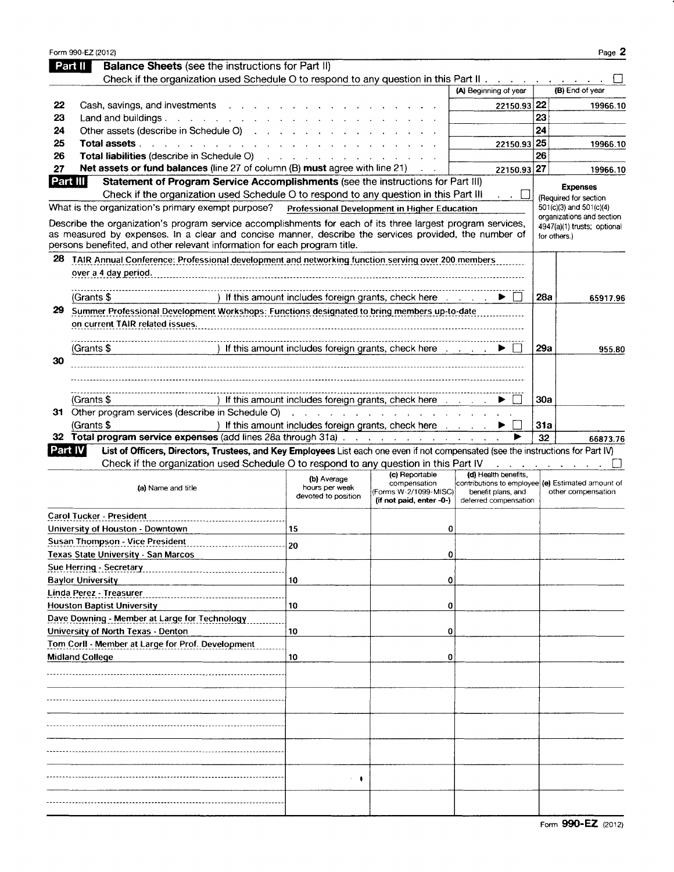|                | Form 990-EZ (2012)                                                                                                                                                                                                                                                                                |                                                                                                                                                                                                                                |                                                                                                             |                                                                                                                          |              | Page 2                                           |
|----------------|---------------------------------------------------------------------------------------------------------------------------------------------------------------------------------------------------------------------------------------------------------------------------------------------------|--------------------------------------------------------------------------------------------------------------------------------------------------------------------------------------------------------------------------------|-------------------------------------------------------------------------------------------------------------|--------------------------------------------------------------------------------------------------------------------------|--------------|--------------------------------------------------|
|                | <b>Balance Sheets (see the instructions for Part II)</b><br>Part II                                                                                                                                                                                                                               |                                                                                                                                                                                                                                |                                                                                                             |                                                                                                                          |              |                                                  |
|                | Check if the organization used Schedule O to respond to any question in this Part II.                                                                                                                                                                                                             |                                                                                                                                                                                                                                |                                                                                                             |                                                                                                                          |              |                                                  |
|                |                                                                                                                                                                                                                                                                                                   |                                                                                                                                                                                                                                |                                                                                                             | (A) Beginning of year                                                                                                    |              | (B) End of year                                  |
| 22             | Cash, savings, and investments                                                                                                                                                                                                                                                                    |                                                                                                                                                                                                                                |                                                                                                             | 22150.93 22                                                                                                              |              | 19966.10                                         |
| 23             | Land and buildings $\cdots$ $\cdots$ $\cdots$ $\cdots$                                                                                                                                                                                                                                            |                                                                                                                                                                                                                                |                                                                                                             |                                                                                                                          | 23           |                                                  |
| 24             | Other assets (describe in Schedule O)                                                                                                                                                                                                                                                             |                                                                                                                                                                                                                                |                                                                                                             |                                                                                                                          | 24           |                                                  |
| 25             | Total assets <b>All According to The Total assets</b>                                                                                                                                                                                                                                             |                                                                                                                                                                                                                                |                                                                                                             | 22150.93 25                                                                                                              |              | 19966.10                                         |
| 26             | Total liabilities (describe in Schedule O)                                                                                                                                                                                                                                                        |                                                                                                                                                                                                                                |                                                                                                             |                                                                                                                          | 26           |                                                  |
| 27<br>Part III | Net assets or fund balances (line 27 of column (B) must agree with line 21)<br>Statement of Program Service Accomplishments (see the instructions for Part III)                                                                                                                                   |                                                                                                                                                                                                                                |                                                                                                             | 22150.93 27                                                                                                              |              | 19966.10                                         |
|                | Check if the organization used Schedule O to respond to any question in this Part III                                                                                                                                                                                                             |                                                                                                                                                                                                                                |                                                                                                             |                                                                                                                          |              | <b>Expenses</b>                                  |
|                | What is the organization's primary exempt purpose?                                                                                                                                                                                                                                                |                                                                                                                                                                                                                                | Professional Development in Higher Education                                                                |                                                                                                                          |              | (Required for section<br>501(c)(3) and 501(c)(4) |
|                |                                                                                                                                                                                                                                                                                                   |                                                                                                                                                                                                                                |                                                                                                             |                                                                                                                          |              | organizations and section                        |
|                | Describe the organization's program service accomplishments for each of its three largest program services,<br>as measured by expenses. In a clear and concise manner, describe the services provided, the number of<br>persons benefited, and other relevant information for each program title. |                                                                                                                                                                                                                                |                                                                                                             |                                                                                                                          | for others.) | 4947(a)(1) trusts; optional                      |
| 28             | TAIR Annual Conference: Professional development and networking function serving over 200 members                                                                                                                                                                                                 |                                                                                                                                                                                                                                |                                                                                                             |                                                                                                                          |              |                                                  |
|                | over a 4 day period.                                                                                                                                                                                                                                                                              |                                                                                                                                                                                                                                |                                                                                                             |                                                                                                                          |              |                                                  |
|                |                                                                                                                                                                                                                                                                                                   |                                                                                                                                                                                                                                |                                                                                                             |                                                                                                                          |              |                                                  |
|                | (Grants \$                                                                                                                                                                                                                                                                                        | ) If this amount includes foreign grants, check here                                                                                                                                                                           |                                                                                                             |                                                                                                                          | 28a          | 65917.96                                         |
| 29             | Summer Professional Development Workshops: Functions designated to bring members up-to-date                                                                                                                                                                                                       |                                                                                                                                                                                                                                |                                                                                                             |                                                                                                                          |              |                                                  |
|                | on current TAIR related issues.                                                                                                                                                                                                                                                                   |                                                                                                                                                                                                                                |                                                                                                             |                                                                                                                          |              |                                                  |
|                |                                                                                                                                                                                                                                                                                                   |                                                                                                                                                                                                                                |                                                                                                             |                                                                                                                          |              |                                                  |
|                | (Grants \$                                                                                                                                                                                                                                                                                        | If this amount includes foreign grants, check here contact of the state of the state and the state of the state of the state of the state of the state of the state of the state of the state of the state of the state of the |                                                                                                             |                                                                                                                          | 29a          | 955.80                                           |
| 30             |                                                                                                                                                                                                                                                                                                   |                                                                                                                                                                                                                                |                                                                                                             |                                                                                                                          |              |                                                  |
|                |                                                                                                                                                                                                                                                                                                   |                                                                                                                                                                                                                                |                                                                                                             |                                                                                                                          |              |                                                  |
|                |                                                                                                                                                                                                                                                                                                   |                                                                                                                                                                                                                                |                                                                                                             |                                                                                                                          |              |                                                  |
|                | (Grants \$                                                                                                                                                                                                                                                                                        | ) If this amount includes foreign grants, check here                                                                                                                                                                           |                                                                                                             |                                                                                                                          | 30a          |                                                  |
|                | 31 Other program services (describe in Schedule O)                                                                                                                                                                                                                                                |                                                                                                                                                                                                                                | $\mathcal{A}$ . The second constraints of the second constraints of the second constraints of $\mathcal{A}$ |                                                                                                                          |              |                                                  |
|                | (Grants \$                                                                                                                                                                                                                                                                                        | ) If this amount includes foreign grants, check here contact of                                                                                                                                                                |                                                                                                             |                                                                                                                          | 31a          |                                                  |
|                |                                                                                                                                                                                                                                                                                                   |                                                                                                                                                                                                                                |                                                                                                             |                                                                                                                          | 32           | 66873.76                                         |
| Part IV        | List of Officers, Directors, Trustees, and Key Employees List each one even if not compensated (see the instructions for Part IV)                                                                                                                                                                 |                                                                                                                                                                                                                                |                                                                                                             |                                                                                                                          |              |                                                  |
|                | Check if the organization used Schedule O to respond to any question in this Part IV                                                                                                                                                                                                              |                                                                                                                                                                                                                                |                                                                                                             |                                                                                                                          |              |                                                  |
|                | (a) Name and title                                                                                                                                                                                                                                                                                | (b) Average<br>hours per week<br>devoted to position                                                                                                                                                                           | (c) Reportable<br>compensation<br>(Forms W-2/1099-MISC)<br>(if not paid, enter -0-)                         | (d) Health benefits,<br>contributions to employee (e) Estimated amount of<br>benefit plans, and<br>deferred compensation |              | other compensation                               |
|                | Carol Tucker - President                                                                                                                                                                                                                                                                          |                                                                                                                                                                                                                                |                                                                                                             |                                                                                                                          |              |                                                  |
|                | University of Houston - Downtown                                                                                                                                                                                                                                                                  | 15                                                                                                                                                                                                                             | 0                                                                                                           |                                                                                                                          |              |                                                  |
|                | Susan Thompson - Vice President                                                                                                                                                                                                                                                                   | 20                                                                                                                                                                                                                             |                                                                                                             |                                                                                                                          |              |                                                  |
|                | <b>Texas State University - San Marcos</b>                                                                                                                                                                                                                                                        |                                                                                                                                                                                                                                | 0                                                                                                           |                                                                                                                          |              |                                                  |
|                | Sue Herring - Secretary                                                                                                                                                                                                                                                                           |                                                                                                                                                                                                                                |                                                                                                             |                                                                                                                          |              |                                                  |
|                | <b>Baylor University</b>                                                                                                                                                                                                                                                                          | 10                                                                                                                                                                                                                             | 0                                                                                                           |                                                                                                                          |              |                                                  |
|                | Linda Perez - Treasurer                                                                                                                                                                                                                                                                           |                                                                                                                                                                                                                                |                                                                                                             |                                                                                                                          |              |                                                  |
|                | <b>Houston Baptist University</b>                                                                                                                                                                                                                                                                 | 10                                                                                                                                                                                                                             | 0                                                                                                           |                                                                                                                          |              |                                                  |
|                | Dave Downing - Member at Large for Technology                                                                                                                                                                                                                                                     |                                                                                                                                                                                                                                |                                                                                                             |                                                                                                                          |              |                                                  |
|                | University of North Texas - Denton                                                                                                                                                                                                                                                                | 10                                                                                                                                                                                                                             | 0                                                                                                           |                                                                                                                          |              |                                                  |
|                | Tom Corll - Member at Large for Prof. Development                                                                                                                                                                                                                                                 |                                                                                                                                                                                                                                |                                                                                                             |                                                                                                                          |              |                                                  |
|                | Midland College                                                                                                                                                                                                                                                                                   | 10                                                                                                                                                                                                                             | 0                                                                                                           |                                                                                                                          |              |                                                  |
|                |                                                                                                                                                                                                                                                                                                   |                                                                                                                                                                                                                                |                                                                                                             |                                                                                                                          |              |                                                  |
|                |                                                                                                                                                                                                                                                                                                   |                                                                                                                                                                                                                                |                                                                                                             |                                                                                                                          |              |                                                  |
|                |                                                                                                                                                                                                                                                                                                   |                                                                                                                                                                                                                                |                                                                                                             |                                                                                                                          |              |                                                  |
|                |                                                                                                                                                                                                                                                                                                   |                                                                                                                                                                                                                                |                                                                                                             |                                                                                                                          |              |                                                  |
|                |                                                                                                                                                                                                                                                                                                   |                                                                                                                                                                                                                                |                                                                                                             |                                                                                                                          |              |                                                  |
|                |                                                                                                                                                                                                                                                                                                   |                                                                                                                                                                                                                                |                                                                                                             |                                                                                                                          |              |                                                  |
|                |                                                                                                                                                                                                                                                                                                   |                                                                                                                                                                                                                                |                                                                                                             |                                                                                                                          |              |                                                  |
|                |                                                                                                                                                                                                                                                                                                   |                                                                                                                                                                                                                                |                                                                                                             |                                                                                                                          |              |                                                  |
|                |                                                                                                                                                                                                                                                                                                   | $\cdot$                                                                                                                                                                                                                        |                                                                                                             |                                                                                                                          |              |                                                  |
|                |                                                                                                                                                                                                                                                                                                   |                                                                                                                                                                                                                                |                                                                                                             |                                                                                                                          |              |                                                  |
|                |                                                                                                                                                                                                                                                                                                   |                                                                                                                                                                                                                                |                                                                                                             |                                                                                                                          |              |                                                  |
|                |                                                                                                                                                                                                                                                                                                   |                                                                                                                                                                                                                                |                                                                                                             |                                                                                                                          |              |                                                  |

Form 990-EZ (2012)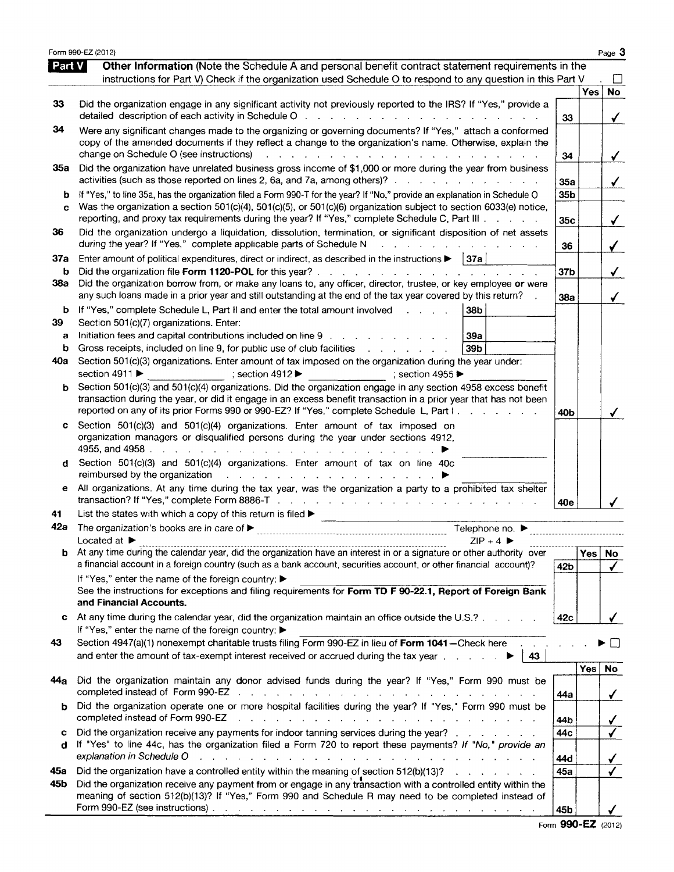|            | Form 990-EZ (2012)                                                                                                                                                                                                                                                                                                                                                                                                                                                                                 |                        |      | Page 3                                |
|------------|----------------------------------------------------------------------------------------------------------------------------------------------------------------------------------------------------------------------------------------------------------------------------------------------------------------------------------------------------------------------------------------------------------------------------------------------------------------------------------------------------|------------------------|------|---------------------------------------|
| Part V     | <b>Other Information</b> (Note the Schedule A and personal benefit contract statement requirements in the<br>instructions for Part V) Check if the organization used Schedule O to respond to any question in this Part V                                                                                                                                                                                                                                                                          |                        |      |                                       |
| 33         | Did the organization engage in any significant activity not previously reported to the IRS? If "Yes," provide a<br>detailed description of each activity in Schedule O reading to the content of the content of the content of the content of the content of the content of the content of the content of the content of the content of the conte                                                                                                                                                  | 33                     | Yes  | <b>No</b><br>$\checkmark$             |
| 34         | Were any significant changes made to the organizing or governing documents? If "Yes," attach a conformed<br>copy of the amended documents if they reflect a change to the organization's name. Otherwise, explain the<br>change on Schedule O (see instructions)<br>a construction of the contract of the construction of the construction of the construction of the construction of the construction of the construction of the construction of the construction of the construction of the cons | 34                     |      | ✓                                     |
| 35a        | Did the organization have unrelated business gross income of \$1,000 or more during the year from business<br>activities (such as those reported on lines 2, 6a, and 7a, among others)?                                                                                                                                                                                                                                                                                                            | 35a                    |      | ✓                                     |
| b<br>C     | If "Yes," to line 35a, has the organization filed a Form 990-T for the year? If "No," provide an explanation in Schedule O<br>Was the organization a section 501(c)(4), 501(c)(5), or 501(c)(6) organization subject to section 6033(e) notice,<br>reporting, and proxy tax requirements during the year? If "Yes," complete Schedule C, Part III                                                                                                                                                  | 35 <sub>b</sub><br>35c |      | ✓                                     |
| 36         | Did the organization undergo a liquidation, dissolution, termination, or significant disposition of net assets<br>during the year? If "Yes," complete applicable parts of Schedule N<br>a construction of the construction of the con-                                                                                                                                                                                                                                                             | 36                     |      | ✓                                     |
| 37a<br>b   | Enter amount of political expenditures, direct or indirect, as described in the instructions $\blacktriangleright$   37a                                                                                                                                                                                                                                                                                                                                                                           | 37 <sub>b</sub>        |      | $\checkmark$                          |
| 38а        | Did the organization borrow from, or make any loans to, any officer, director, trustee, or key employee or were<br>any such loans made in a prior year and still outstanding at the end of the tax year covered by this return?                                                                                                                                                                                                                                                                    | 38a                    |      | $\checkmark$                          |
| b<br>39.   | If "Yes," complete Schedule L, Part II and enter the total amount involved<br>38b<br>Section 501(c)(7) organizations. Enter:                                                                                                                                                                                                                                                                                                                                                                       |                        |      |                                       |
| а<br>b     | Initiation fees and capital contributions included on line 9<br><b>39a</b><br>Gross receipts, included on line 9, for public use of club facilities<br>39b<br>$\mathbf{r}$ and $\mathbf{r}$ and $\mathbf{r}$ and $\mathbf{r}$                                                                                                                                                                                                                                                                      |                        |      |                                       |
| 40a        | Section 501(c)(3) organizations. Enter amount of tax imposed on the organization during the year under:<br>section 4911 ▶<br>; section 4912 $\blacktriangleright$<br>: section 4955 $\blacktriangleright$                                                                                                                                                                                                                                                                                          |                        |      |                                       |
| b          | Section 501(c)(3) and 501(c)(4) organizations. Did the organization engage in any section 4958 excess benefit<br>transaction during the year, or did it engage in an excess benefit transaction in a prior year that has not been<br>reported on any of its prior Forms 990 or 990-EZ? If "Yes," complete Schedule L, Part I.<br>and the state of the state                                                                                                                                        | 40b                    |      | ✓                                     |
| c          | Section 501(c)(3) and 501(c)(4) organizations. Enter amount of tax imposed on<br>organization managers or disqualified persons during the year under sections 4912,                                                                                                                                                                                                                                                                                                                                |                        |      |                                       |
| d          | Section 501(c)(3) and 501(c)(4) organizations. Enter amount of tax on line 40c<br>reimbursed by the organization and a subset of the contract of the organization and a subset of the contract of                                                                                                                                                                                                                                                                                                  |                        |      |                                       |
| е          | All organizations. At any time during the tax year, was the organization a party to a prohibited tax shelter                                                                                                                                                                                                                                                                                                                                                                                       | 40e                    |      |                                       |
| 41<br>42a  | List the states with which a copy of this return is filed D<br>Telephone no. ▶                                                                                                                                                                                                                                                                                                                                                                                                                     |                        |      |                                       |
|            | Located at ▶<br>$ZIP + 4$                                                                                                                                                                                                                                                                                                                                                                                                                                                                          |                        |      |                                       |
| b.         | At any time during the calendar year, did the organization have an interest in or a signature or other authority over<br>a financial account in a foreign country (such as a bank account, securities account, or other financial account)?<br>If "Yes," enter the name of the foreign country: ▶                                                                                                                                                                                                  | 42 <sub>b</sub>        | Yes  | No<br>$\checkmark$                    |
|            | See the instructions for exceptions and filing requirements for Form TD F 90-22.1, Report of Foreign Bank<br>and Financial Accounts.                                                                                                                                                                                                                                                                                                                                                               |                        |      |                                       |
| c          | At any time during the calendar year, did the organization maintain an office outside the U.S.?<br>If "Yes," enter the name of the foreign country: ▶                                                                                                                                                                                                                                                                                                                                              | 42c                    |      | ✓                                     |
| 43         | Section 4947(a)(1) nonexempt charitable trusts filing Form 990-EZ in lieu of Form 1041-Check here<br>and enter the amount of tax-exempt interest received or accrued during the tax year entertainment of tax-exempt interest received or accrued during the tax year<br>43                                                                                                                                                                                                                        |                        |      |                                       |
| 44a        | Did the organization maintain any donor advised funds during the year? If "Yes," Form 990 must be                                                                                                                                                                                                                                                                                                                                                                                                  | 44a                    | Yes. | No<br>$\checkmark$                    |
| b          | Did the organization operate one or more hospital facilities during the year? If "Yes," Form 990 must be<br>completed instead of Form 990-EZ<br>والمتعاون والمتعاون والمتواطن والمتعاون والمتعاون والمتعاون والمتعاون والمتعاون والمتعاون                                                                                                                                                                                                                                                          | 44b                    |      |                                       |
| c<br>d     | Did the organization receive any payments for indoor tanning services during the year?<br>If "Yes" to line 44c, has the organization filed a Form 720 to report these payments? If "No," provide an<br>explanation in Schedule O<br>والمتعادل والمتعاون والمتعاون والمتعاونة والمتعاون والمتعاونة والمتعاونة والمتعاونة والمتعاونة                                                                                                                                                                 | 44c<br>44d             |      | $\frac{\sqrt{}}{\sqrt{2}}$            |
| 45а<br>45b | Did the organization have a controlled entity within the meaning of section $512(b)(13)?$<br>Did the organization receive any payment from or engage in any transaction with a controlled entity within the<br>meaning of section 512(b)(13)? If "Yes," Form 990 and Schedule R may need to be completed instead of                                                                                                                                                                                | 45a                    |      | $\sqrt{ }$<br>$\overline{\checkmark}$ |
|            |                                                                                                                                                                                                                                                                                                                                                                                                                                                                                                    | 45b                    |      |                                       |

Form 990-EZ (2012)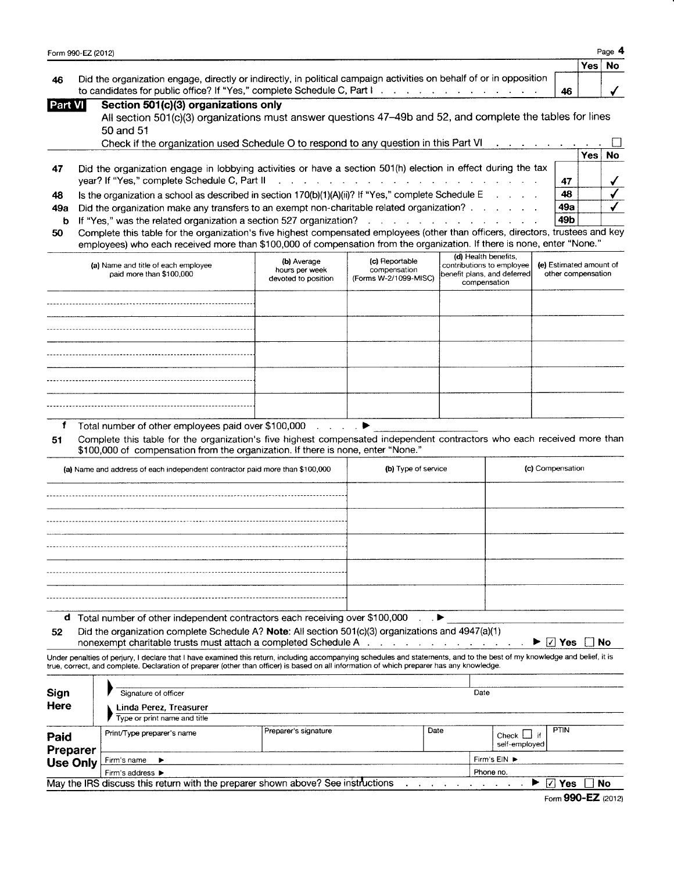|                | Form 990-EZ (2012)                                                                                                                                                    |      |           | Page 4 |  |
|----------------|-----------------------------------------------------------------------------------------------------------------------------------------------------------------------|------|-----------|--------|--|
|                | 46<br>Section 501(c)(3) organizations only<br>All section 501(c)(3) organizations must answer questions 47-49b and 52, and complete the tables for lines<br>50 and 51 | Yes⊺ | <b>No</b> |        |  |
| 46             | Did the organization engage, directly or indirectly, in political campaign activities on behalf of or in opposition                                                   |      |           |        |  |
| <b>Part VI</b> |                                                                                                                                                                       |      |           |        |  |

|     | Check if the organization used Schedule O to respond to any question in this Part VI                                              |     |       |           |
|-----|-----------------------------------------------------------------------------------------------------------------------------------|-----|-------|-----------|
|     |                                                                                                                                   |     | Yes l | <b>No</b> |
| -47 | Did the organization engage in lobbying activities or have a section 501(h) election in effect during the tax                     |     |       |           |
|     |                                                                                                                                   | 47  |       |           |
| 48  | Is the organization a school as described in section $170(b)(1)(A)(ii)?$ If "Yes," complete Schedule E                            | 48  |       |           |
| 49а | Did the organization make any transfers to an exempt non-charitable related organization?                                         | 49а |       |           |
|     |                                                                                                                                   | 49b |       |           |
|     | EQ Complete this toble for the examination's five highest compensated employees (other than officers, directors, trustees and key |     |       |           |

50 Complete this table for the organization's five highest compensated employees (other than officers, directors, trustees and key employees) who each received more than \$100,000 of compensation from the organization. lf there is none, enter "None."

| (a) Name and title of each employee<br>paid more than \$100,000 | (b) Average<br>hours per week<br>devoted to position | (c) Reportable<br>compensation<br>(Forms W-2/1099-MISC) | (d) Health benefits,<br>contributions to employee<br>benefit plans, and deferred<br>compensation | (e) Estimated amount of<br>other compensation |
|-----------------------------------------------------------------|------------------------------------------------------|---------------------------------------------------------|--------------------------------------------------------------------------------------------------|-----------------------------------------------|
|                                                                 |                                                      |                                                         |                                                                                                  |                                               |
|                                                                 |                                                      |                                                         |                                                                                                  |                                               |
|                                                                 |                                                      |                                                         |                                                                                                  |                                               |
|                                                                 |                                                      |                                                         |                                                                                                  |                                               |
|                                                                 |                                                      |                                                         |                                                                                                  |                                               |

f Total number of other employees paid over  $$100,000$ .

51 Complete this table for the organization's five highest compensated independent contractors who each received more than \$100,000 of compensation from the organization. If there is none, enter "None."

|    | (a) Name and address of each independent contractor paid more than \$100,000                                                                                                                                                                                                                                             | (b) Type of service | (c) Compensation                                        |
|----|--------------------------------------------------------------------------------------------------------------------------------------------------------------------------------------------------------------------------------------------------------------------------------------------------------------------------|---------------------|---------------------------------------------------------|
|    |                                                                                                                                                                                                                                                                                                                          |                     |                                                         |
|    |                                                                                                                                                                                                                                                                                                                          |                     |                                                         |
|    |                                                                                                                                                                                                                                                                                                                          |                     |                                                         |
|    |                                                                                                                                                                                                                                                                                                                          |                     |                                                         |
|    |                                                                                                                                                                                                                                                                                                                          |                     |                                                         |
| a  | Total number of other independent contractors each receiving over \$100,000 ▶                                                                                                                                                                                                                                            |                     |                                                         |
| 52 | Did the organization complete Schedule A? Note: All section 501(c)(3) organizations and 4947(a)(1)<br>nonexempt charitable trusts must attach a completed Schedule A                                                                                                                                                     |                     | $\blacktriangleright$ $\mid$ $\vee$ $\mid$<br>Yes<br>No |
|    | Under penalties of perjury, I declare that I have examined this return, including accompanying schedules and statements, and to the best of my knowledge and belief, it is<br>true, correct, and complete. Declaration of preparer (other than officer) is based on all information of which preparer has any knowledge. |                     |                                                         |
|    |                                                                                                                                                                                                                                                                                                                          |                     |                                                         |

| Sign<br>Here     | Signature of officer<br>Linda Perez, Treasurer<br>Type or print name and title |                                                                                 |      | Date                                            |
|------------------|--------------------------------------------------------------------------------|---------------------------------------------------------------------------------|------|-------------------------------------------------|
| Paid<br>Preparer | Print/Type preparer's name                                                     | Preparer's signature                                                            | Date | <b>PTIN</b><br>Check $\Box$ if<br>self-emploved |
| <b>Use Only</b>  | Firm's name $\blacktriangleright$                                              |                                                                                 |      | Firm's EIN ▶                                    |
|                  | Firm's address $\blacktriangleright$                                           | Phone no.                                                                       |      |                                                 |
|                  |                                                                                | May the IRS discuss this return with the preparer shown above? See instructions |      | ا کرا<br>Yes<br>No                              |

Form 990-EZ (2012)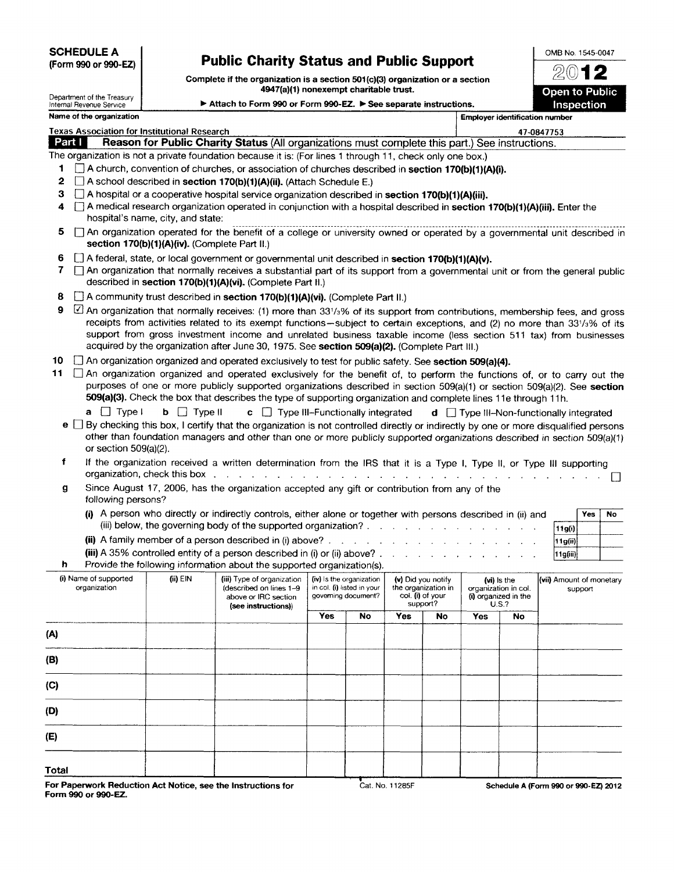**SCHEDULE A** (Form 990 or 990-EZ)

## Public Gharity Status and Public Support

Complete if the organization is a section  $501(c)(3)$  organization or a section 4947(a)(1) nonexempt charitable trust.

OMB No. 1545-0047  $2012$ **Open to Public** 

|                  | Department of the Treasury<br>Internal Revenue Service |                                               | <b>To Traffit, Honexempt Charliable trust.</b><br>► Attach to Form 990 or Form 990-EZ. ► See separate instructions.                                                                                                                                                                                                                                                                                                                                                                                                                            |            |                                                   |     |                                                                           |                                       |                                                                      | <b>Open to Public</b><br>Inspection                     |
|------------------|--------------------------------------------------------|-----------------------------------------------|------------------------------------------------------------------------------------------------------------------------------------------------------------------------------------------------------------------------------------------------------------------------------------------------------------------------------------------------------------------------------------------------------------------------------------------------------------------------------------------------------------------------------------------------|------------|---------------------------------------------------|-----|---------------------------------------------------------------------------|---------------------------------------|----------------------------------------------------------------------|---------------------------------------------------------|
|                  | Name of the organization                               |                                               |                                                                                                                                                                                                                                                                                                                                                                                                                                                                                                                                                |            |                                                   |     |                                                                           | <b>Employer identification number</b> |                                                                      |                                                         |
|                  | <b>Texas Association for Institutional Research</b>    |                                               |                                                                                                                                                                                                                                                                                                                                                                                                                                                                                                                                                |            |                                                   |     |                                                                           |                                       |                                                                      | 47-0847753                                              |
|                  | Part I                                                 |                                               | Reason for Public Charity Status (All organizations must complete this part.) See instructions.                                                                                                                                                                                                                                                                                                                                                                                                                                                |            |                                                   |     |                                                                           |                                       |                                                                      |                                                         |
| 1<br>2<br>З<br>4 |                                                        | hospital's name, city, and state:             | The organization is not a private foundation because it is: (For lines 1 through 11, check only one box.)<br>$\Box$ A church, convention of churches, or association of churches described in section 170(b)(1)(A)(i).<br>$\Box$ A school described in section 170(b)(1)(A)(ii). (Attach Schedule E.)<br>$\Box$ A hospital or a cooperative hospital service organization described in section 170(b)(1)(A)(iii).<br>A medical research organization operated in conjunction with a hospital described in section 170(b)(1)(A)(iii). Enter the |            |                                                   |     |                                                                           |                                       |                                                                      |                                                         |
| 5                |                                                        | section 170(b)(1)(A)(iv). (Complete Part II.) | □ An organization operated for the benefit of a college or university owned or operated by a governmental unit described in                                                                                                                                                                                                                                                                                                                                                                                                                    |            |                                                   |     |                                                                           |                                       |                                                                      |                                                         |
| 6<br>7           |                                                        |                                               | [1] A federal, state, or local government or governmental unit described in section 170(b)(1)(A)(v).<br>An organization that normally receives a substantial part of its support from a governmental unit or from the general public<br>described in section 170(b)(1)(A)(vi). (Complete Part II.)                                                                                                                                                                                                                                             |            |                                                   |     |                                                                           |                                       |                                                                      |                                                         |
| 8                |                                                        |                                               | A community trust described in section 170(b)(1)(A)(vi). (Complete Part II.)                                                                                                                                                                                                                                                                                                                                                                                                                                                                   |            |                                                   |     |                                                                           |                                       |                                                                      |                                                         |
| 9                |                                                        |                                               | 4 An organization that normally receives: (1) more than 331/3% of its support from contributions, membership fees, and gross<br>receipts from activities related to its exempt functions-subject to certain exceptions, and (2) no more than 331/3% of its<br>support from gross investment income and unrelated business taxable income (less section 511 tax) from businesses<br>acquired by the organization after June 30, 1975. See section 509(a)(2). (Complete Part III.)                                                               |            |                                                   |     |                                                                           |                                       |                                                                      |                                                         |
| 10               |                                                        |                                               | An organization organized and operated exclusively to test for public safety. See section 509(a)(4).                                                                                                                                                                                                                                                                                                                                                                                                                                           |            |                                                   |     |                                                                           |                                       |                                                                      |                                                         |
| 11               |                                                        |                                               | $\Box$ An organization organized and operated exclusively for the benefit of, to perform the functions of, or to carry out the<br>purposes of one or more publicly supported organizations described in section 509(a)(1) or section 509(a)(2). See section<br>509(a)(3). Check the box that describes the type of supporting organization and complete lines 11e through 11h.                                                                                                                                                                 |            |                                                   |     |                                                                           |                                       |                                                                      |                                                         |
|                  | $a \cup$ Type I<br>or section $509(a)(2)$ .            | <b>b</b> $\Box$ Type II                       | $\mathbf{c}$ $\Box$ Type III-Functionally integrated<br>e $\Box$ By checking this box, I certify that the organization is not controlled directly or indirectly by one or more disqualified persons<br>other than foundation managers and other than one or more publicly supported organizations described in section 509(a)(1)                                                                                                                                                                                                               |            |                                                   |     |                                                                           |                                       |                                                                      | $\mathbf d$ $\Box$ Type III-Non-functionally integrated |
| f                |                                                        | organization, check this box                  | If the organization received a written determination from the IRS that it is a Type I, Type II, or Type III supporting<br>and the contract of the contract of the contract of the contract of the contract of the contract of                                                                                                                                                                                                                                                                                                                  |            |                                                   |     |                                                                           |                                       |                                                                      |                                                         |
| g                | following persons?                                     |                                               | Since August 17, 2006, has the organization accepted any gift or contribution from any of the                                                                                                                                                                                                                                                                                                                                                                                                                                                  |            |                                                   |     |                                                                           |                                       |                                                                      |                                                         |
|                  |                                                        |                                               | (i) A person who directly or indirectly controls, either alone or together with persons described in (ii) and                                                                                                                                                                                                                                                                                                                                                                                                                                  |            |                                                   |     |                                                                           |                                       |                                                                      | Yes<br>No<br>11g(i)                                     |
|                  |                                                        |                                               | (ii) A family member of a person described in (i) above? $\ldots$ , $\ldots$ , $\ldots$ , $\ldots$ , $\ldots$                                                                                                                                                                                                                                                                                                                                                                                                                                  |            |                                                   |     |                                                                           |                                       |                                                                      | 11g(ii)                                                 |
| h                |                                                        |                                               | Provide the following information about the supported organization(s).                                                                                                                                                                                                                                                                                                                                                                                                                                                                         |            |                                                   |     |                                                                           |                                       |                                                                      | 11g(iii)                                                |
|                  | (i) Name of supported<br>organization                  | (ii) EIN                                      | (iii) Type of organization   (iv) Is the organization<br>(described on lines 1-9<br>above or IRC section<br>(see instructions))                                                                                                                                                                                                                                                                                                                                                                                                                |            | in col. (i) listed in your<br>governing document? |     | (v) Did you notify<br>the organization in<br>col. (i) of your<br>support? |                                       | (vi) is the<br>organization in col.<br>(i) organized in the<br>U.S.? | (vii) Amount of monetary<br>support                     |
|                  |                                                        |                                               |                                                                                                                                                                                                                                                                                                                                                                                                                                                                                                                                                | <b>Yes</b> | No                                                | Yes | No                                                                        | Yes                                   | No                                                                   |                                                         |
| (A)              |                                                        |                                               |                                                                                                                                                                                                                                                                                                                                                                                                                                                                                                                                                |            |                                                   |     |                                                                           |                                       |                                                                      |                                                         |
| (B)              |                                                        |                                               |                                                                                                                                                                                                                                                                                                                                                                                                                                                                                                                                                |            |                                                   |     |                                                                           |                                       |                                                                      |                                                         |
| (C)              |                                                        |                                               |                                                                                                                                                                                                                                                                                                                                                                                                                                                                                                                                                |            |                                                   |     |                                                                           |                                       |                                                                      |                                                         |
| (D)              |                                                        |                                               |                                                                                                                                                                                                                                                                                                                                                                                                                                                                                                                                                |            |                                                   |     |                                                                           |                                       |                                                                      |                                                         |
| (E)              |                                                        |                                               |                                                                                                                                                                                                                                                                                                                                                                                                                                                                                                                                                |            |                                                   |     |                                                                           |                                       |                                                                      |                                                         |
| <b>Total</b>     |                                                        |                                               |                                                                                                                                                                                                                                                                                                                                                                                                                                                                                                                                                |            |                                                   |     |                                                                           |                                       |                                                                      |                                                         |

For Paperwork Reduction Act Notice, see the Instructions for Form 99O or 9O0-EZ.

Cat. No. 11285F Schedule A (Form 990 or 990-EZ) 2012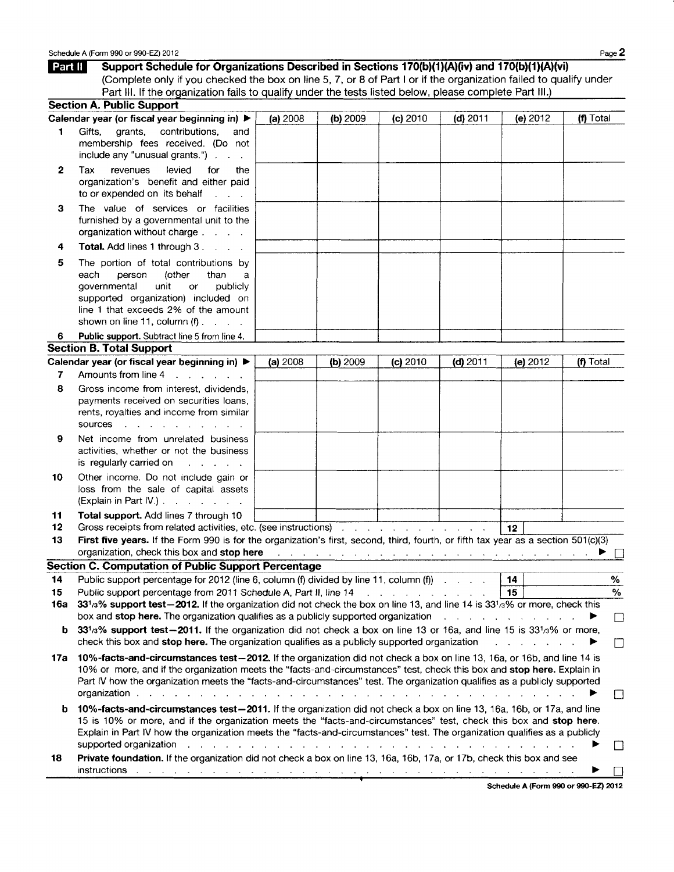| Part II  | Support Schedule for Organizations Described in Sections 170(b)(1)(A)(iv) and 170(b)(1)(A)(vi)                                                                                                                                                                                                                                                                                 |          |          |                                                                                                                 |            |                               |                   |
|----------|--------------------------------------------------------------------------------------------------------------------------------------------------------------------------------------------------------------------------------------------------------------------------------------------------------------------------------------------------------------------------------|----------|----------|-----------------------------------------------------------------------------------------------------------------|------------|-------------------------------|-------------------|
|          | (Complete only if you checked the box on line 5, 7, or 8 of Part I or if the organization failed to qualify under                                                                                                                                                                                                                                                              |          |          |                                                                                                                 |            |                               |                   |
|          | Part III. If the organization fails to qualify under the tests listed below, please complete Part III.)<br><b>Section A. Public Support</b>                                                                                                                                                                                                                                    |          |          |                                                                                                                 |            |                               |                   |
|          | Calendar year (or fiscal year beginning in) ▶                                                                                                                                                                                                                                                                                                                                  | (a) 2008 | (b) 2009 | (c) 2010                                                                                                        | $(d)$ 2011 | (e) 2012                      | (f) Total         |
| 1        | Gifts,<br>arants.<br>contributions,<br>and                                                                                                                                                                                                                                                                                                                                     |          |          |                                                                                                                 |            |                               |                   |
|          | membership fees received. (Do not<br>include any "unusual grants.")                                                                                                                                                                                                                                                                                                            |          |          |                                                                                                                 |            |                               |                   |
| 2        | levied<br>Tax<br>revenues<br>for<br>the<br>organization's benefit and either paid<br>to or expended on its behalf<br><b>Contract Contract</b>                                                                                                                                                                                                                                  |          |          |                                                                                                                 |            |                               |                   |
| з        | The value of services or facilities<br>furnished by a governmental unit to the<br>organization without charge                                                                                                                                                                                                                                                                  |          |          |                                                                                                                 |            |                               |                   |
| 4        | <b>Total.</b> Add lines 1 through 3.                                                                                                                                                                                                                                                                                                                                           |          |          |                                                                                                                 |            |                               |                   |
| 5        | The portion of total contributions by<br>each<br>(other<br>person<br>than<br>a<br>governmental<br>unit<br>publicly<br>or<br>supported organization) included on<br>line 1 that exceeds 2% of the amount<br>shown on line 11, column $(f)$ .                                                                                                                                    |          |          |                                                                                                                 |            |                               |                   |
| 6        | Public support. Subtract line 5 from line 4.                                                                                                                                                                                                                                                                                                                                   |          |          |                                                                                                                 |            |                               |                   |
|          | <b>Section B. Total Support</b>                                                                                                                                                                                                                                                                                                                                                |          |          |                                                                                                                 |            |                               |                   |
|          | Calendar year (or fiscal year beginning in) ▶                                                                                                                                                                                                                                                                                                                                  | (a) 2008 | (b) 2009 | (c) 2010                                                                                                        | $(d)$ 2011 | (e) 2012                      | (f) Total         |
| 7        | Amounts from line 4<br>$\mathbf{r}$ and $\mathbf{r}$ are $\mathbf{r}$ and $\mathbf{r}$                                                                                                                                                                                                                                                                                         |          |          |                                                                                                                 |            |                               |                   |
| 8        | Gross income from interest, dividends,<br>payments received on securities loans,<br>rents, royalties and income from similar<br>sources<br><b>Carl Controller Controller</b><br><b>Contract Contract</b>                                                                                                                                                                       |          |          |                                                                                                                 |            |                               |                   |
| 9        | Net income from unrelated business<br>activities, whether or not the business<br>is regularly carried on<br>$\mathbf{1}$ and $\mathbf{1}$ and $\mathbf{1}$ and $\mathbf{1}$                                                                                                                                                                                                    |          |          |                                                                                                                 |            |                               |                   |
| 10       | Other income. Do not include gain or<br>loss from the sale of capital assets<br>$(Explain in Part IV.)$ $\ldots$ $\ldots$                                                                                                                                                                                                                                                      |          |          |                                                                                                                 |            |                               |                   |
| 11<br>12 | Total support. Add lines 7 through 10<br>Gross receipts from related activities, etc. (see instructions)                                                                                                                                                                                                                                                                       |          |          |                                                                                                                 |            | 12                            |                   |
| 13       | First five years. If the Form 990 is for the organization's first, second, third, fourth, or fifth tax year as a section 501(c)(3)                                                                                                                                                                                                                                             |          |          |                                                                                                                 |            |                               |                   |
|          | organization, check this box and stop here                                                                                                                                                                                                                                                                                                                                     |          |          | the contract of the contract of the contract of the contract of the contract of the contract of the contract of |            |                               | ▶ □               |
| 14       | <b>Section C. Computation of Public Support Percentage</b><br>Public support percentage for 2012 (line 6, column (f) divided by line 11, column (f)                                                                                                                                                                                                                            |          |          |                                                                                                                 |            | 14                            | %                 |
| 15       | Public support percentage from 2011 Schedule A, Part II, line 14 [1] [1] Allen Line Manuson Public support percentage from 2011 Schedule A, Part II, line 14                                                                                                                                                                                                                   |          |          |                                                                                                                 |            | 15                            | $\%$              |
| 16a      | 331/3% support test-2012. If the organization did not check the box on line 13, and line 14 is 331/3% or more, check this<br>box and stop here. The organization qualifies as a publicly supported organization $\ldots$ $\ldots$ $\ldots$                                                                                                                                     |          |          |                                                                                                                 |            |                               | $\vert \ \ \vert$ |
| b        | 331/3% support test-2011. If the organization did not check a box on line 13 or 16a, and line 15 is 331/3% or more,<br>check this box and stop here. The organization qualifies as a publicly supported organization                                                                                                                                                           |          |          |                                                                                                                 |            | and a straight and a straight |                   |
| 17а      | 10%-facts-and-circumstances test-2012. If the organization did not check a box on line 13, 16a, or 16b, and line 14 is<br>10% or more, and if the organization meets the "facts-and-circumstances" test, check this box and stop here. Explain in<br>Part IV how the organization meets the "facts-and-circumstances" test. The organization qualifies as a publicly supported |          |          |                                                                                                                 |            |                               | IJ                |
| b        | 10%-facts-and-circumstances test-2011. If the organization did not check a box on line 13, 16a, 16b, or 17a, and line<br>15 is 10% or more, and if the organization meets the "facts-and-circumstances" test, check this box and stop here.<br>Explain in Part IV how the organization meets the "facts-and-circumstances" test. The organization qualifies as a publicly      |          |          |                                                                                                                 |            |                               |                   |
| 18       | supported organization response to the contract of the state of the state of the state of the state of the state of the state of the state of the state of the state of the state of the state of the state of the state of th<br>Private foundation. If the organization did not check a box on line 13, 16a, 16b, 17a, or 17b, check this box and see                        |          |          |                                                                                                                 |            |                               |                   |
|          |                                                                                                                                                                                                                                                                                                                                                                                |          |          |                                                                                                                 |            |                               |                   |

Schedule A (Form 990 or 990-EZ) 2012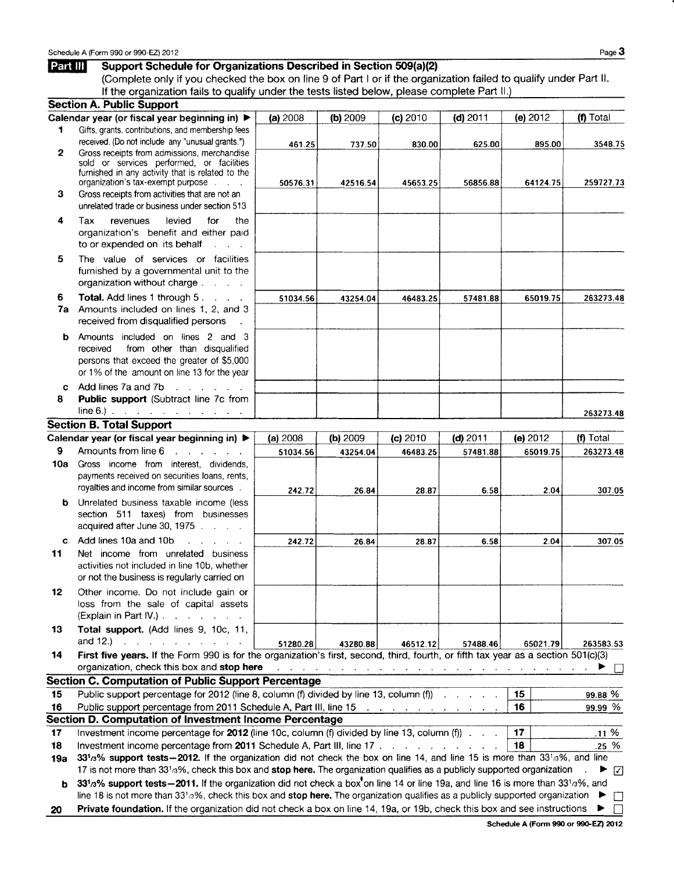l,

## **Part III Support Schedule for Organizations Described in Section 509(a)(2)**

If the organization fails to qualify under the tests listed below, please complete Part II.) (Complete only if you checked the box on line 9 of Part I or if the organization failed to qualify under Part II.

|     | <b>Section A. Public Support</b>                                                                                                                                                                                                                                        |          |          |          |            |                                                                                  |             |
|-----|-------------------------------------------------------------------------------------------------------------------------------------------------------------------------------------------------------------------------------------------------------------------------|----------|----------|----------|------------|----------------------------------------------------------------------------------|-------------|
|     | Calendar year (or fiscal year beginning in) ▶                                                                                                                                                                                                                           | (a) 2008 | (b) 2009 | (c) 2010 | $(d)$ 2011 | (e) 2012                                                                         | (f) Total   |
| 1   | Gifts, grants, contributions, and membership fees                                                                                                                                                                                                                       |          |          |          |            |                                                                                  |             |
|     | received. (Do not include any "unusual grants.")                                                                                                                                                                                                                        | 461.25   | 737.50   | 830.00   | 625.00     | 895.00                                                                           | 3548.75     |
| 2   | Gross receipts from admissions, merchandise                                                                                                                                                                                                                             |          |          |          |            |                                                                                  |             |
|     | sold or services performed, or facilities                                                                                                                                                                                                                               |          |          |          |            |                                                                                  |             |
|     | furnished in any activity that is related to the<br>organization's tax-exempt purpose                                                                                                                                                                                   | 50576.31 | 42516.54 | 45653.25 | 56856.88   | 64124.75                                                                         | 259727.73   |
| 3   | Gross receipts from activities that are not an                                                                                                                                                                                                                          |          |          |          |            |                                                                                  |             |
|     | unrelated trade or business under section 513                                                                                                                                                                                                                           |          |          |          |            |                                                                                  |             |
| 4   | levied<br>Tax<br>for<br>revenues<br>the                                                                                                                                                                                                                                 |          |          |          |            |                                                                                  |             |
|     | organization's benefit and either paid                                                                                                                                                                                                                                  |          |          |          |            |                                                                                  |             |
|     | to or expended on its behalf<br><b>Service</b>                                                                                                                                                                                                                          |          |          |          |            |                                                                                  |             |
|     |                                                                                                                                                                                                                                                                         |          |          |          |            |                                                                                  |             |
| 5   | The value of services or facilities                                                                                                                                                                                                                                     |          |          |          |            |                                                                                  |             |
|     | furnished by a governmental unit to the                                                                                                                                                                                                                                 |          |          |          |            |                                                                                  |             |
|     | organization without charge                                                                                                                                                                                                                                             |          |          |          |            |                                                                                  |             |
| 6   | Total. Add lines 1 through 5.                                                                                                                                                                                                                                           | 51034.56 | 43254.04 | 46483.25 | 57481.88   | 65019.75                                                                         | 263273.48   |
| 7a  | Amounts included on lines 1, 2, and 3                                                                                                                                                                                                                                   |          |          |          |            |                                                                                  |             |
|     | received from disqualified persons                                                                                                                                                                                                                                      |          |          |          |            |                                                                                  |             |
| b   | Amounts included on lines 2 and 3                                                                                                                                                                                                                                       |          |          |          |            |                                                                                  |             |
|     | from other than disqualified<br>received                                                                                                                                                                                                                                |          |          |          |            |                                                                                  |             |
|     | persons that exceed the greater of \$5,000                                                                                                                                                                                                                              |          |          |          |            |                                                                                  |             |
|     | or 1% of the amount on line 13 for the year                                                                                                                                                                                                                             |          |          |          |            |                                                                                  |             |
| c   | Add lines 7a and 7b<br>$\sim$ $\sim$                                                                                                                                                                                                                                    |          |          |          |            |                                                                                  |             |
| 8   | Public support (Subtract line 7c from                                                                                                                                                                                                                                   |          |          |          |            |                                                                                  |             |
|     | line 6.) $\frac{1}{2}$ . The state of the state of the state $\frac{1}{2}$                                                                                                                                                                                              |          |          |          |            |                                                                                  | 263273.48   |
|     | <b>Section B. Total Support</b>                                                                                                                                                                                                                                         |          |          |          |            |                                                                                  |             |
|     | Calendar year (or fiscal year beginning in) ▶                                                                                                                                                                                                                           | (a) 2008 | (b) 2009 | (c) 2010 | $(d)$ 2011 | (e) 2012                                                                         | $(n)$ Total |
| 9   | Amounts from line 6<br>$\mathbf{r}$ . The set of the set of the set of the set of the set of the set of the set of the set of the set of the set of the set of the set of the set of the set of the set of the set of the set of the set of the set of t                | 51034.56 | 43254.04 | 46483.25 | 57481.88   | 65019.75                                                                         | 263273.48   |
| 10a | Gross income from interest, dividends,                                                                                                                                                                                                                                  |          |          |          |            |                                                                                  |             |
|     | payments received on securities loans, rents,                                                                                                                                                                                                                           |          |          |          |            |                                                                                  |             |
|     | royalties and income from similar sources.                                                                                                                                                                                                                              | 242.72   | 26.84    | 28.87    | 6.58       | 2.04                                                                             | 307.05      |
| b   | Unrelated business taxable income (less                                                                                                                                                                                                                                 |          |          |          |            |                                                                                  |             |
|     | section 511 taxes) from businesses                                                                                                                                                                                                                                      |          |          |          |            |                                                                                  |             |
|     | acquired after June 30, 1975                                                                                                                                                                                                                                            |          |          |          |            |                                                                                  |             |
| c.  | Add lines 10a and 10b<br>and the state of the                                                                                                                                                                                                                           | 242.72   | 26.84    | 28.87    | 6.58       | 2.04                                                                             | 307.05      |
| 11  | Net income from unrelated business                                                                                                                                                                                                                                      |          |          |          |            |                                                                                  |             |
|     | activities not included in line 10b, whether                                                                                                                                                                                                                            |          |          |          |            |                                                                                  |             |
|     | or not the business is regularly carried on                                                                                                                                                                                                                             |          |          |          |            |                                                                                  |             |
| 12  | Other income. Do not include gain or                                                                                                                                                                                                                                    |          |          |          |            |                                                                                  |             |
|     | loss from the sale of capital assets                                                                                                                                                                                                                                    |          |          |          |            |                                                                                  |             |
|     | (Explain in Part IV.).<br>and the state of the state of the                                                                                                                                                                                                             |          |          |          |            |                                                                                  |             |
| 13  | Total support. (Add lines 9, 10c, 11,                                                                                                                                                                                                                                   |          |          |          |            |                                                                                  |             |
|     | and $12.$ )<br>and a state of<br><b>Contract Contract</b>                                                                                                                                                                                                               | 51280.28 | 43280.88 | 46512.12 | 57488.46   | 65021.79                                                                         | 263583.53   |
| 14  | First five years. If the Form 990 is for the organization's first, second, third, fourth, or fifth tax year as a section 501(c)(3)                                                                                                                                      |          |          |          |            |                                                                                  |             |
|     | organization, check this box and stop here                                                                                                                                                                                                                              |          |          |          |            | المتنقل والمتناول والقارون والقارون والقارون والقارون والقارون والقارون والمناور |             |
|     | <b>Section C. Computation of Public Support Percentage</b>                                                                                                                                                                                                              |          |          |          |            |                                                                                  |             |
| 15  | Public support percentage for 2012 (line 8, column (f) divided by line 13, column (f))                                                                                                                                                                                  |          |          |          |            | 15                                                                               | 99.88 %     |
| 16  | Public support percentage from 2011 Schedule A, Part III, line 15 (all cases of all cases of all cases of all cases of all cases of all cases of all cases of all cases of all cases of all cases of all cases of all cases of                                          |          |          |          |            | 16                                                                               | 99.99 %     |
|     | <b>Section D. Computation of Investment Income Percentage</b>                                                                                                                                                                                                           |          |          |          |            |                                                                                  |             |
| 17  | Investment income percentage for $2012$ (line 10c, column (f) divided by line 13, column (f)) $\ldots$                                                                                                                                                                  |          |          |          |            | 17                                                                               | .11%        |
|     |                                                                                                                                                                                                                                                                         |          |          |          |            |                                                                                  |             |
|     |                                                                                                                                                                                                                                                                         |          |          |          |            |                                                                                  |             |
| 18  | Investment income percentage from 2011 Schedule A, Part III, line 17                                                                                                                                                                                                    |          |          |          |            | 18                                                                               | $.25\%$     |
| 19а | 331/3% support tests - 2012. If the organization did not check the box on line 14, and line 15 is more than 331/3%, and line                                                                                                                                            |          |          |          |            |                                                                                  |             |
|     | 17 is not more than 331/3%, check this box and stop here. The organization qualifies as a publicly supported organization                                                                                                                                               |          |          |          |            |                                                                                  | ⊡           |
| b   | 331/3% support tests - 2011. If the organization did not check a box on line 14 or line 19a, and line 16 is more than 331/3%, and                                                                                                                                       |          |          |          |            |                                                                                  |             |
| 20  | line 18 is not more than 33 <sup>1</sup> /3%, check this box and stop here. The organization qualifies as a publicly supported organization<br>Private foundation. If the organization did not check a box on line 14, 19a, or 19b, check this box and see instructions |          |          |          |            |                                                                                  |             |

Schedule A (Form 990 or 990-EZ) 2012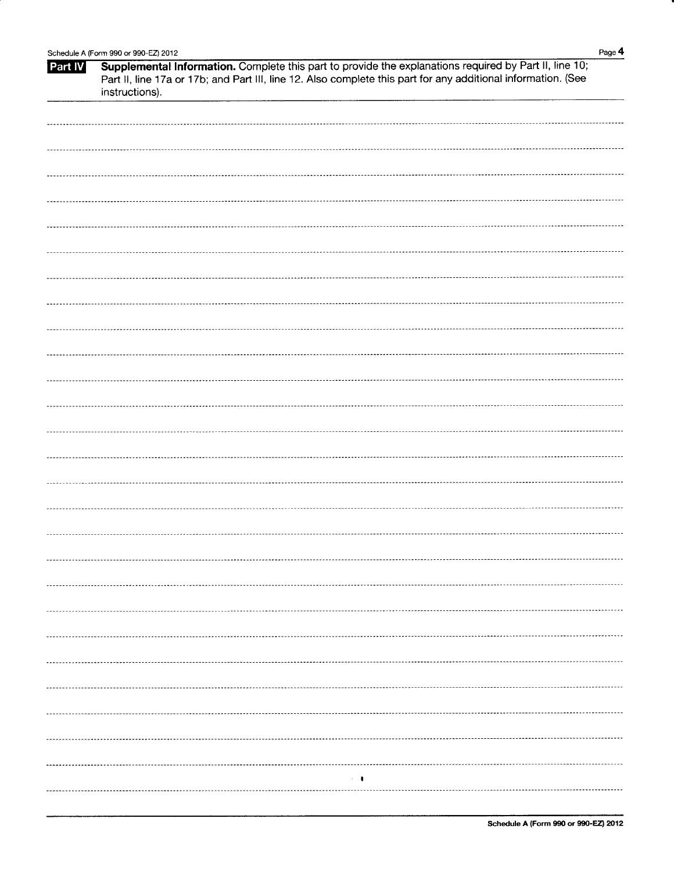|                | Schedule A (Form 990 or 990-EZ) 2012                                                                          | Page 4 |
|----------------|---------------------------------------------------------------------------------------------------------------|--------|
| <b>Part IV</b> | Supplemental Information. Complete this part to provide the explanations required by Part II, line 10;        |        |
|                | Part II, line 17a or 17b; and Part III, line 12. Also complete this part for any additional information. (See |        |
|                | instructions).                                                                                                |        |
|                |                                                                                                               |        |
|                |                                                                                                               |        |
|                |                                                                                                               |        |
|                |                                                                                                               |        |
|                |                                                                                                               |        |
|                |                                                                                                               |        |
|                |                                                                                                               |        |
|                |                                                                                                               |        |
|                |                                                                                                               |        |
|                |                                                                                                               |        |
|                |                                                                                                               |        |
|                |                                                                                                               |        |
|                |                                                                                                               |        |
|                |                                                                                                               |        |
|                |                                                                                                               |        |
|                |                                                                                                               |        |
|                |                                                                                                               |        |
|                |                                                                                                               |        |
|                |                                                                                                               |        |
|                |                                                                                                               |        |
|                |                                                                                                               |        |
|                |                                                                                                               |        |
|                |                                                                                                               |        |
|                |                                                                                                               |        |
|                |                                                                                                               |        |
|                |                                                                                                               |        |
|                |                                                                                                               |        |
|                |                                                                                                               |        |
|                |                                                                                                               |        |
|                |                                                                                                               |        |
|                |                                                                                                               |        |
|                |                                                                                                               |        |
|                |                                                                                                               |        |
|                |                                                                                                               |        |
|                |                                                                                                               |        |
|                |                                                                                                               |        |
|                |                                                                                                               |        |
|                |                                                                                                               |        |
|                |                                                                                                               |        |
|                |                                                                                                               |        |
|                |                                                                                                               |        |
|                |                                                                                                               |        |
|                |                                                                                                               |        |
|                |                                                                                                               |        |
|                |                                                                                                               |        |
|                |                                                                                                               |        |
|                |                                                                                                               |        |
|                |                                                                                                               |        |
|                |                                                                                                               |        |
|                |                                                                                                               |        |
|                |                                                                                                               |        |
|                |                                                                                                               |        |
|                |                                                                                                               |        |
|                | $\sim$ 100                                                                                                    |        |
|                |                                                                                                               |        |
|                |                                                                                                               |        |